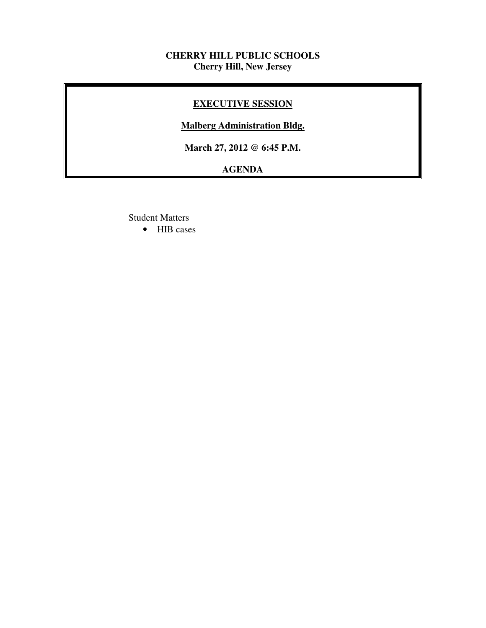## **CHERRY HILL PUBLIC SCHOOLS Cherry Hill, New Jersey**

# **EXECUTIVE SESSION**

### **Malberg Administration Bldg.**

 **March 27, 2012 @ 6:45 P.M.** 

# **AGENDA**

Student Matters

• HIB cases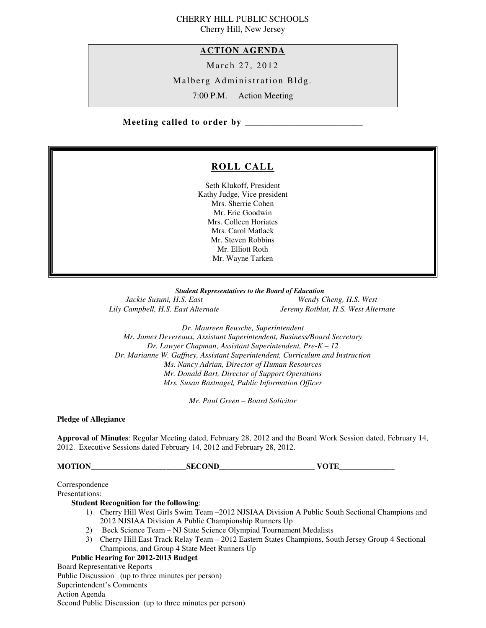#### CHERRY HILL PUBLIC SCHOOLS Cherry Hill, New Jersey

 **ACTION AGENDA** 

March 27, 2012

Malberg Administration Bldg.

7:00 P.M. Action Meeting

 **Meeting called to order by \_\_\_\_\_\_\_\_\_\_\_\_\_\_\_\_\_\_\_\_\_\_\_\_\_\_\_** 

# **ROLL CALL**

 Seth Klukoff, President Kathy Judge, Vice president Mrs. Sherrie Cohen Mr. Eric Goodwin Mrs. Colleen Horiates Mrs. Carol Matlack Mr. Steven Robbins Mr. Elliott Roth Mr. Wayne Tarken

 *Student Representatives to the Board of Education*  Jackie Susuni, H.S. East Lily Campbell, H.S. East Alternate

 $W$ endy Cheng, H.S. West *Jeremy Rotblat, H.S. West Alternate* 

 *Dr. Maureen Reusche, Superintendent Mr. James Devereaux, Assistant Superintendent, Business/Board Secretary Dr. Lawyer Chapman, Assistant Superintendent, Pre-K – 12 Dr. Marianne W. Gaffney, Assistant Superintendent, Curriculum and Instruction Ms. Nancy Adrian, Director of Human Resources Mr. Donald Bart, Director of Support Operations Mrs. Susan Bastnagel, Public Information Officer* 

 *Mr. Paul Green – Board Solicitor* 

 **Pledge of Allegiance** 

 **Approval of Minutes**: Regular Meeting dated, February 28, 2012 and the Board Work Session dated, February 14, 2012. Executive Sessions dated February 14, 2012 and February 28, 2012.

**MOTION** SECOND VOTE

Correspondence

Presentations:

#### **Student Recognition for the following**:

- 1) Cherry Hill West Girls Swim Team –2012 NJSIAA Division A Public South Sectional Champions and 2012 NJSIAA Division A Public Championship Runners Up
- 2) Beck Science Team NJ State Science Olympiad Tournament Medalists
- 3) Cherry Hill East Track Relay Team 2012 Eastern States Champions, South Jersey Group 4 Sectional Champions, and Group 4 State Meet Runners Up

#### **Public Hearing for 2012-2013 Budget**

 Board Representative Reports Public Discussion (up to three minutes per person) Superintendent's Comments Action Agenda Second Public Discussion (up to three minutes per person)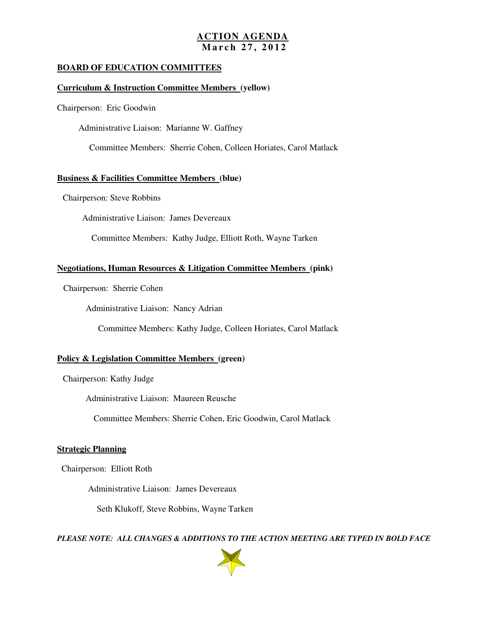# **ACTION AGENDA M a r c h 2 7 , 2 0 1 2**

#### **BOARD OF EDUCATION COMMITTEES**

#### **Curriculum & Instruction Committee Members (yellow)**

Chairperson: Eric Goodwin

Administrative Liaison: Marianne W. Gaffney

Committee Members: Sherrie Cohen, Colleen Horiates, Carol Matlack

#### **Business & Facilities Committee Members (blue)**

Chairperson: Steve Robbins

Administrative Liaison: James Devereaux

Committee Members: Kathy Judge, Elliott Roth, Wayne Tarken

#### **Negotiations, Human Resources & Litigation Committee Members (pink)**

Chairperson: Sherrie Cohen

Administrative Liaison: Nancy Adrian

Committee Members: Kathy Judge, Colleen Horiates, Carol Matlack

#### **Policy & Legislation Committee Members (green)**

Chairperson: Kathy Judge

Administrative Liaison: Maureen Reusche

Committee Members: Sherrie Cohen, Eric Goodwin, Carol Matlack

#### **Strategic Planning**

Chairperson: Elliott Roth

Administrative Liaison: James Devereaux

Seth Klukoff, Steve Robbins, Wayne Tarken

 *PLEASE NOTE: ALL CHANGES & ADDITIONS TO THE ACTION MEETING ARE TYPED IN BOLD FACE* 

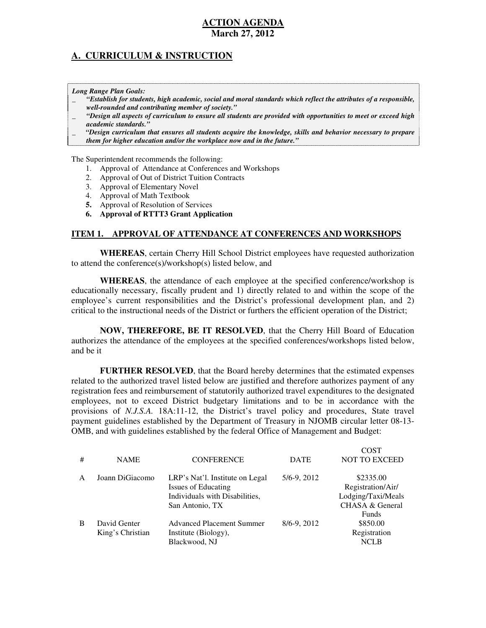# **A. CURRICULUM & INSTRUCTION**

 *Long Range Plan Goals:* 

- \_ *"Establish for students, high academic, social and moral standards which reflect the attributes of a responsible, well-rounded and contributing member of society."*
- \_ *"Design all aspects of curriculum to ensure all students are provided with opportunities to meet or exceed high academic standards."*
- \_ *"Design curriculum that ensures all students acquire the knowledge, skills and behavior necessary to prepare them for higher education and/or the workplace now and in the future."*

The Superintendent recommends the following:

- 1. Approval of Attendance at Conferences and Workshops
- 2. Approval of Out of District Tuition Contracts
- 3. Approval of Elementary Novel
- 4. Approval of Math Textbook
- **5.** Approval of Resolution of Services
- **6. Approval of RTTT3 Grant Application**

#### **ITEM 1. APPROVAL OF ATTENDANCE AT CONFERENCES AND WORKSHOPS**

 **WHEREAS**, certain Cherry Hill School District employees have requested authorization to attend the conference(s)/workshop(s) listed below, and

 **WHEREAS**, the attendance of each employee at the specified conference/workshop is educationally necessary, fiscally prudent and 1) directly related to and within the scope of the employee's current responsibilities and the District's professional development plan, and 2) critical to the instructional needs of the District or furthers the efficient operation of the District;

 **NOW, THEREFORE, BE IT RESOLVED**, that the Cherry Hill Board of Education authorizes the attendance of the employees at the specified conferences/workshops listed below, and be it

 **FURTHER RESOLVED**, that the Board hereby determines that the estimated expenses related to the authorized travel listed below are justified and therefore authorizes payment of any registration fees and reimbursement of statutorily authorized travel expenditures to the designated employees, not to exceed District budgetary limitations and to be in accordance with the provisions of *N.J.S.A.* 18A:11-12, the District's travel policy and procedures, State travel payment guidelines established by the Department of Treasury in NJOMB circular letter 08-13 OMB, and with guidelines established by the federal Office of Management and Budget:

| # | <b>NAME</b>                      | <b>CONFERENCE</b>                                                                                                  | <b>DATE</b> | <b>COST</b><br>NOT TO EXCEED                                                            |
|---|----------------------------------|--------------------------------------------------------------------------------------------------------------------|-------------|-----------------------------------------------------------------------------------------|
| A | Joann DiGiacomo                  | LRP's Nat'l. Institute on Legal<br><b>Issues of Educating</b><br>Individuals with Disabilities,<br>San Antonio, TX | 5/6-9, 2012 | \$2335.00<br>Registration/Air/<br>Lodging/Taxi/Meals<br>CHASA & General<br><b>Funds</b> |
| B | David Genter<br>King's Christian | <b>Advanced Placement Summer</b><br>Institute (Biology),<br>Blackwood, NJ                                          | 8/6-9, 2012 | \$850.00<br>Registration<br><b>NCLB</b>                                                 |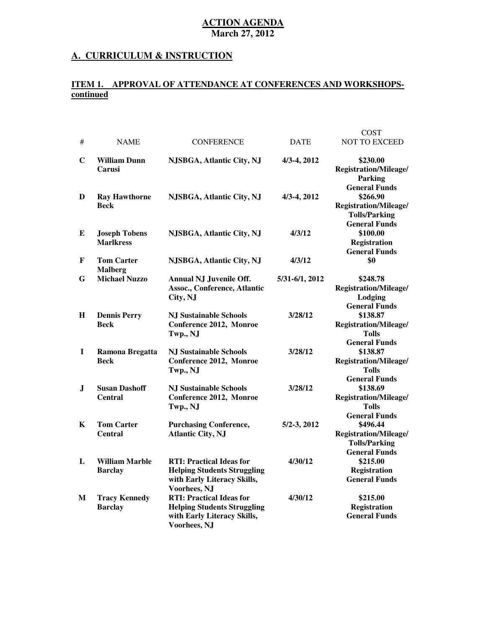#### **A. CURRICULUM & INSTRUCTION**

#### **ITEM 1. APPROVAL OF ATTENDANCE AT CONFERENCES AND WORKSHOPS continued**

| #         | <b>NAME</b>                              | <b>CONFERENCE</b>                                                                                                    | <b>DATE</b>    | <b>COST</b><br><b>NOT TO EXCEED</b>                                                               |
|-----------|------------------------------------------|----------------------------------------------------------------------------------------------------------------------|----------------|---------------------------------------------------------------------------------------------------|
| C         | <b>William Dunn</b><br><b>Carusi</b>     | NJSBGA, Atlantic City, NJ                                                                                            | 4/3-4, 2012    | \$230.00<br>Registration/Mileage/<br>Parking                                                      |
| D         | <b>Ray Hawthorne</b><br><b>Beck</b>      | NJSBGA, Atlantic City, NJ                                                                                            | 4/3-4, 2012    | <b>General Funds</b><br>\$266.90<br>Registration/Mileage/<br><b>Tolls/Parking</b>                 |
| E         | <b>Joseph Tobens</b><br><b>Marlkress</b> | NJSBGA, Atlantic City, NJ                                                                                            | 4/3/12         | <b>General Funds</b><br>\$100.00<br><b>Registration</b><br><b>General Funds</b>                   |
| F         | <b>Tom Carter</b><br><b>Malberg</b>      | NJSBGA, Atlantic City, NJ                                                                                            | 4/3/12         | \$0                                                                                               |
| G         | <b>Michael Nuzzo</b>                     | <b>Annual NJ Juvenile Off.</b><br><b>Assoc., Conference, Atlantic</b><br>City, NJ                                    | 5/31-6/1, 2012 | \$248.78<br>Registration/Mileage/<br>Lodging                                                      |
| $\bf H$   | <b>Dennis Perry</b><br><b>Beck</b>       | <b>NJ Sustainable Schools</b><br>Conference 2012, Monroe<br>Twp., NJ                                                 | 3/28/12        | <b>General Funds</b><br>\$138.87<br>Registration/Mileage/<br><b>Tolls</b><br><b>General Funds</b> |
| $\bf{I}$  | Ramona Bregatta<br><b>Beck</b>           | <b>NJ Sustainable Schools</b><br>Conference 2012, Monroe<br>Twp., NJ                                                 | 3/28/12        | \$138.87<br>Registration/Mileage/<br>Tolls<br><b>General Funds</b>                                |
| ${\bf J}$ | <b>Susan Dashoff</b><br><b>Central</b>   | <b>NJ Sustainable Schools</b><br>Conference 2012, Monroe<br>Twp., NJ                                                 | 3/28/12        | \$138.69<br>Registration/Mileage/<br><b>Tolls</b><br><b>General Funds</b>                         |
| K         | <b>Tom Carter</b><br><b>Central</b>      | <b>Purchasing Conference,</b><br><b>Atlantic City, NJ</b>                                                            | 5/2-3, 2012    | \$496.44<br>Registration/Mileage/<br><b>Tolls/Parking</b><br><b>General Funds</b>                 |
| L         | <b>William Marble</b><br><b>Barclay</b>  | <b>RTI: Practical Ideas for</b><br><b>Helping Students Struggling</b><br>with Early Literacy Skills,<br>Voorhees, NJ | 4/30/12        | \$215.00<br><b>Registration</b><br><b>General Funds</b>                                           |
| M         | <b>Tracy Kennedy</b><br><b>Barclay</b>   | <b>RTI: Practical Ideas for</b><br><b>Helping Students Struggling</b><br>with Early Literacy Skills,<br>Voorhees, NJ | 4/30/12        | \$215.00<br><b>Registration</b><br><b>General Funds</b>                                           |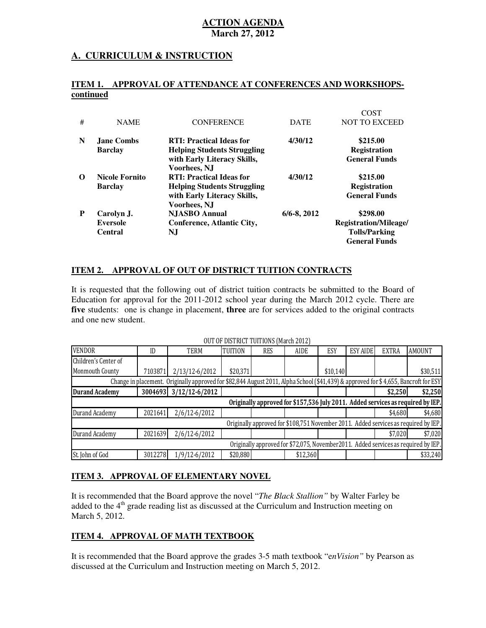### **A. CURRICULUM & INSTRUCTION**

#### **ITEM 1. APPROVAL OF ATTENDANCE AT CONFERENCES AND WORKSHOPScontinued**

| #        | <b>NAME</b>                                     | <b>CONFERENCE</b>                                                                                                     | <b>DATE</b>      | COST<br><b>NOT TO EXCEED</b>                                                      |
|----------|-------------------------------------------------|-----------------------------------------------------------------------------------------------------------------------|------------------|-----------------------------------------------------------------------------------|
| N        | <b>Jane Combs</b><br><b>Barclay</b>             | <b>RTI: Practical Ideas for</b><br><b>Helping Students Struggling</b><br>with Early Literacy Skills,<br>Voorhees, NJ  | 4/30/12          | \$215.00<br><b>Registration</b><br><b>General Funds</b>                           |
| $\Omega$ | <b>Nicole Fornito</b><br><b>Barclay</b>         | <b>RTI: Practical Ideas for</b><br><b>Helping Students Struggling</b><br>with Early Literacy Skills,<br>Voorhees, N.J | 4/30/12          | \$215.00<br><b>Registration</b><br><b>General Funds</b>                           |
| P        | Carolyn J.<br><b>Eversole</b><br><b>Central</b> | <b>NJASBO</b> Annual<br>Conference, Atlantic City,<br>NJ                                                              | $6/6 - 8$ , 2012 | \$298.00<br>Registration/Mileage/<br><b>Tolls/Parking</b><br><b>General Funds</b> |

#### **ITEM 2. APPROVAL OF OUT OF DISTRICT TUITION CONTRACTS**

 It is requested that the following out of district tuition contracts be submitted to the Board of Education for approval for the 2011-2012 school year during the March 2012 cycle. There are **five** students: one is change in placement, **three** are for services added to the original contracts and one new student.

|                       |                                                                                    |                                                                                                                                     |          | $001$ of <i>DIOITRIGI</i> TOMMONO (FRIGHT FOTH) |             |          |                 |              |                                                                                     |
|-----------------------|------------------------------------------------------------------------------------|-------------------------------------------------------------------------------------------------------------------------------------|----------|-------------------------------------------------|-------------|----------|-----------------|--------------|-------------------------------------------------------------------------------------|
| <b>VENDOR</b>         | ID                                                                                 | TERM                                                                                                                                | TUITION  | <b>RES</b>                                      | <b>AIDE</b> | ESY      | <b>ESY AIDE</b> | <b>EXTRA</b> | <b>AMOUNT</b>                                                                       |
| Children's Center of  |                                                                                    |                                                                                                                                     |          |                                                 |             |          |                 |              |                                                                                     |
| Monmouth County       | 7103871                                                                            | 2/13/12-6/2012                                                                                                                      | \$20,371 |                                                 |             | \$10,140 |                 |              | \$30,511                                                                            |
|                       |                                                                                    | Change in placement. Originally approved for \$82,844 August 2011, Alpha School (\$41,439) & approved for \$4,655, Bancroft for ESY |          |                                                 |             |          |                 |              |                                                                                     |
| <b>Durand Academy</b> |                                                                                    | 3004693 3/12/12-6/2012                                                                                                              |          |                                                 |             |          |                 | \$2,250      | \$2,250                                                                             |
|                       |                                                                                    |                                                                                                                                     |          |                                                 |             |          |                 |              | Originally approved for \$157,536 July 2011. Added services as required by IEP.     |
| Durand Academy        | 2021641                                                                            | $2/6/12 - 6/2012$                                                                                                                   |          |                                                 |             |          |                 | \$4,680      | \$4,680                                                                             |
|                       |                                                                                    |                                                                                                                                     |          |                                                 |             |          |                 |              | Originally approved for \$108,751 November 2011. Added services as required by IEP. |
| Durand Academy        | 2021639                                                                            | $2/6/12 - 6/2012$                                                                                                                   |          |                                                 |             |          |                 | \$7,020      | \$7,020                                                                             |
|                       | Originally approved for \$72,075, November2011. Added services as required by IEP. |                                                                                                                                     |          |                                                 |             |          |                 |              |                                                                                     |
| St. John of God       | 3012278                                                                            | 1/9/12-6/2012                                                                                                                       | \$20,880 |                                                 | \$12,360    |          |                 |              | \$33,240                                                                            |

OUT OF DISTRICT TUITIONS (March 2012)

#### **ITEM 3. APPROVAL OF ELEMENTARY NOVEL**

 It is recommended that the Board approve the novel "*The Black Stallion"* by Walter Farley be added to the  $4<sup>th</sup>$  grade reading list as discussed at the Curriculum and Instruction meeting on March 5, 2012.

### **ITEM 4. APPROVAL OF MATH TEXTBOOK**

 It is recommended that the Board approve the grades 3-5 math textbook "e*nVision"* by Pearson as discussed at the Curriculum and Instruction meeting on March 5, 2012.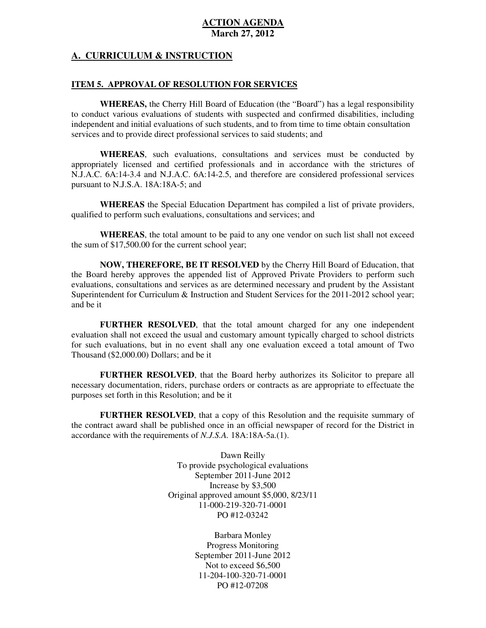#### **A. CURRICULUM & INSTRUCTION**

#### **ITEM 5. APPROVAL OF RESOLUTION FOR SERVICES**

 **WHEREAS,** the Cherry Hill Board of Education (the "Board") has a legal responsibility to conduct various evaluations of students with suspected and confirmed disabilities, including independent and initial evaluations of such students, and to from time to time obtain consultation services and to provide direct professional services to said students; and

 **WHEREAS**, such evaluations, consultations and services must be conducted by appropriately licensed and certified professionals and in accordance with the strictures of  $N.J.A.C. 6A:14-3.4$  and N.J.A.C.  $6A:14-2.5$ , and therefore are considered professional services pursuant to N.J.S.A. 18A:18A-5; and

 **WHEREAS** the Special Education Department has compiled a list of private providers, qualified to perform such evaluations, consultations and services; and

 **WHEREAS**, the total amount to be paid to any one vendor on such list shall not exceed the sum of  $$17,500.00$  for the current school year;

 **NOW, THEREFORE, BE IT RESOLVED** by the Cherry Hill Board of Education, that the Board hereby approves the appended list of Approved Private Providers to perform such evaluations, consultations and services as are determined necessary and prudent by the Assistant Superintendent for Curriculum & Instruction and Student Services for the 2011-2012 school year; and be it

 **FURTHER RESOLVED**, that the total amount charged for any one independent evaluation shall not exceed the usual and customary amount typically charged to school districts for such evaluations, but in no event shall any one evaluation exceed a total amount of Two Thousand (\$2,000.00) Dollars; and be it

 **FURTHER RESOLVED**, that the Board herby authorizes its Solicitor to prepare all necessary documentation, riders, purchase orders or contracts as are appropriate to effectuate the purposes set forth in this Resolution; and be it

 **FURTHER RESOLVED**, that a copy of this Resolution and the requisite summary of the contract award shall be published once in an official newspaper of record for the District in accordance with the requirements of *N.J.S.A.* 18A:18A-5a.(1).

> Dawn Reilly To provide psychological evaluations September 2011-June 2012 Increase by \$3,500 Original approved amount \$5,000, 8/23/11 PO #12-03242 11-000-219-320-71-0001

> > Barbara Monley Progress Monitoring September 2011-June 2012 Not to exceed \$6,500 PO #12-07208 11-204-100-320-71-0001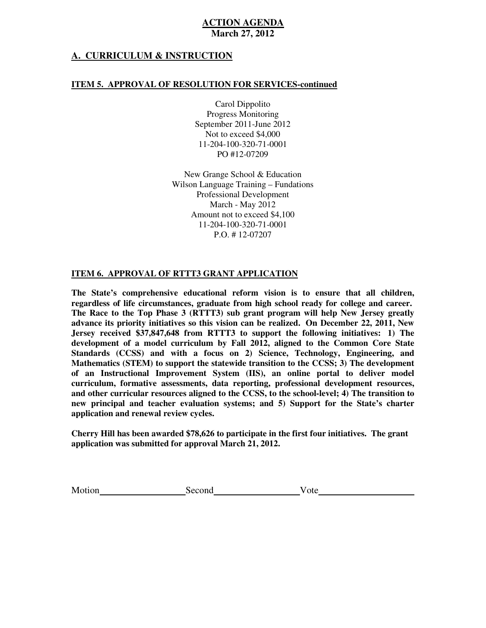## **A. CURRICULUM & INSTRUCTION**

#### **ITEM 5. APPROVAL OF RESOLUTION FOR SERVICES-continued**

 Carol Dippolito Progress Monitoring September 2011-June 2012 Not to exceed \$4,000 PO #12-07209 11-204-100-320-71-0001

 New Grange School & Education Wilson Language Training – Fundations March - May 2012 Amount not to exceed \$4,100 P.O. # 12-07207 Professional Development 11-204-100-320-71-0001

#### **ITEM 6. APPROVAL OF RTTT3 GRANT APPLICATION**

 **The State's comprehensive educational reform vision is to ensure that all children, regardless of life circumstances, graduate from high school ready for college and career. The Race to the Top Phase 3 (RTTT3) sub grant program will help New Jersey greatly advance its priority initiatives so this vision can be realized. On December 22, 2011, New Jersey received \$37,847,648 from RTTT3 to support the following initiatives: 1) The development of a model curriculum by Fall 2012, aligned to the Common Core State Standards (CCSS) and with a focus on 2) Science, Technology, Engineering, and Mathematics (STEM) to support the statewide transition to the CCSS; 3) The development of an Instructional Improvement System (IIS), an online portal to deliver model curriculum, formative assessments, data reporting, professional development resources, and other curricular resources aligned to the CCSS, to the school-level; 4) The transition to new principal and teacher evaluation systems; and 5) Support for the State's charter application and renewal review cycles.** 

 **Cherry Hill has been awarded \$78,626 to participate in the first four initiatives. The grant application was submitted for approval March 21, 2012.** 

Motion Second Vote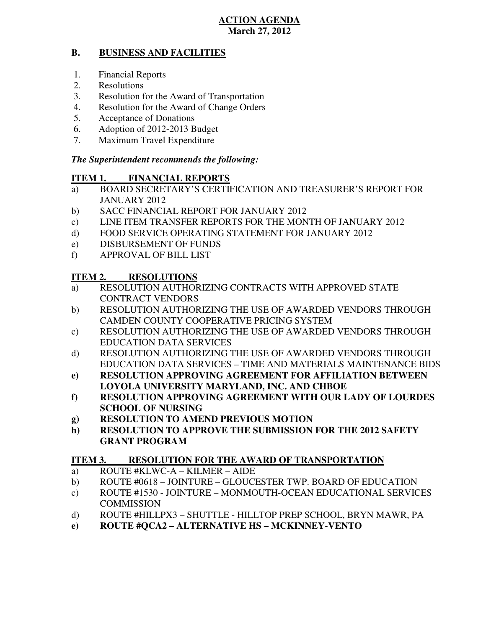#### **B. BUSINESS AND FACILITIES**

- 1. Financial Reports
- 2. Resolutions
- 3. Resolution for the Award of Transportation
- 4. Resolution for the Award of Change Orders
- 5. Acceptance of Donations
- 6. Adoption of 2012-2013 Budget
- 7. Maximum Travel Expenditure

# *The Superintendent recommends the following:*

#### **ITEM 1. FINANCIAL REPORTS**

- a) BOARD SECRETARY'S CERTIFICATION AND TREASURER'S REPORT FOR JANUARY 2012
- $b)$ SACC FINANCIAL REPORT FOR JANUARY 2012
- $\mathbf{c})$ LINE ITEM TRANSFER REPORTS FOR THE MONTH OF JANUARY 2012
- $\rm d$ FOOD SERVICE OPERATING STATEMENT FOR JANUARY 2012
- e) DISBURSEMENT OF FUNDS
- f) APPROVAL OF BILL LIST

#### **ITEM 2. RESOLUTIONS**

- a) RESOLUTION AUTHORIZING CONTRACTS WITH APPROVED STATE CONTRACT VENDORS
- b) RESOLUTION AUTHORIZING THE USE OF AWARDED VENDORS THROUGH CAMDEN COUNTY COOPERATIVE PRICING SYSTEM
- c) RESOLUTION AUTHORIZING THE USE OF AWARDED VENDORS THROUGH EDUCATION DATA SERVICES
- d) RESOLUTION AUTHORIZING THE USE OF AWARDED VENDORS THROUGH EDUCATION DATA SERVICES – TIME AND MATERIALS MAINTENANCE BIDS
- **e) RESOLUTION APPROVING AGREEMENT FOR AFFILIATION BETWEEN LOYOLA UNIVERSITY MARYLAND, INC. AND CHBOE**
- **f) RESOLUTION APPROVING AGREEMENT WITH OUR LADY OF LOURDES SCHOOL OF NURSING**
- **g) RESOLUTION TO AMEND PREVIOUS MOTION**
- **h) RESOLUTION TO APPROVE THE SUBMISSION FOR THE 2012 SAFETY GRANT PROGRAM**

#### **ITEM 3. RESOLUTION FOR THE AWARD OF TRANSPORTATION**

- a) ROUTE #KLWC-A KILMER AIDE
- b) ROUTE #0618 JOINTURE GLOUCESTER TWP. BOARD OF EDUCATION
- c) ROUTE #1530 JOINTURE MONMOUTH-OCEAN EDUCATIONAL SERVICES **COMMISSION**
- d) ROUTE #HILLPX3 SHUTTLE HILLTOP PREP SCHOOL, BRYN MAWR, PA
- **e) ROUTE #QCA2 ALTERNATIVE HS MCKINNEY-VENTO**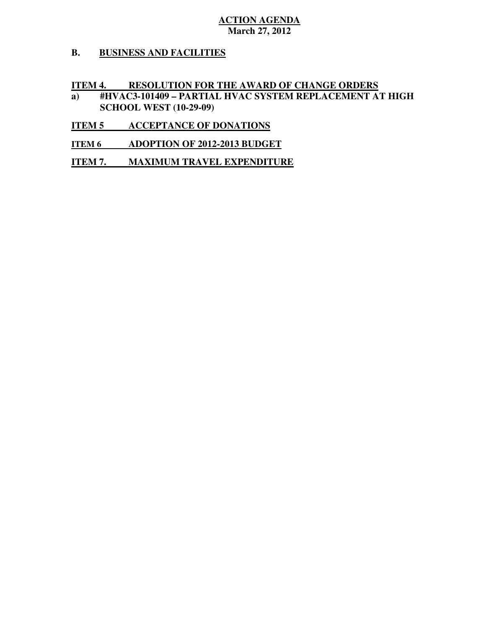#### **B. BUSINESS AND FACILITIES**

#### **ITEM 4. RESOLUTION FOR THE AWARD OF CHANGE ORDERS**

- **a) #HVAC3-101409 PARTIAL HVAC SYSTEM REPLACEMENT AT HIGH SCHOOL WEST (10-29-09)**
- **ITEM 5 ACCEPTANCE OF DONATIONS**
- **ITEM 6 ADOPTION OF 2012-2013 BUDGET**
- **ITEM 7. MAXIMUM TRAVEL EXPENDITURE**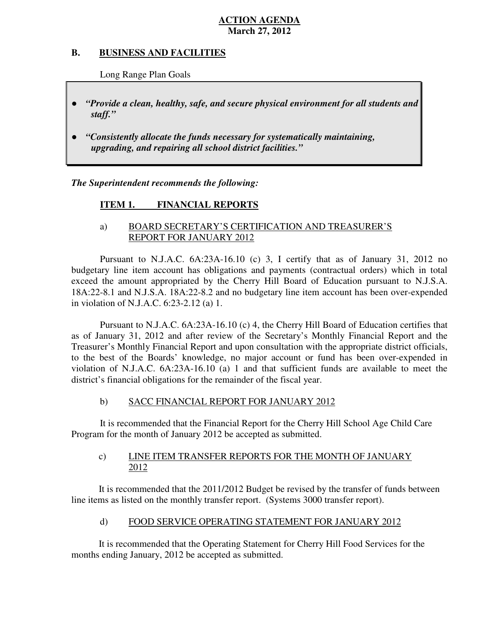#### **B. B. BUSINESS AND FACILITIES**

Long Range Plan Goals

- *"Provide a clean, healthy, safe, and secure physical environment for all students and staff."*
- *"Consistently allocate the funds necessary for systematically maintaining, upgrading, and repairing all school district facilities."*

 *The Superintendent recommends the following:* 

#### **ITEM 1. FINANCIAL REPORTS**

# a) BOARD SECRETARY'S CERTIFICATION AND TREASURER'S REPORT FOR JANUARY 2012

 Pursuant to N.J.A.C. 6A:23A-16.10 (c) 3, I certify that as of January 31, 2012 no budgetary line item account has obligations and payments (contractual orders) which in total exceed the amount appropriated by the Cherry Hill Board of Education pursuant to N.J.S.A. 18A:22-8.1 and N.J.S.A. 18A:22-8.2 and no budgetary line item account has been over-expended in violation of N.J.A.C. 6:23-2.12 (a) 1.

 Pursuant to N.J.A.C. 6A:23A-16.10 (c) 4, the Cherry Hill Board of Education certifies that as of January 31, 2012 and after review of the Secretary's Monthly Financial Report and the Treasurer's Monthly Financial Report and upon consultation with the appropriate district officials, to the best of the Boards' knowledge, no major account or fund has been over-expended in violation of N.J.A.C.  $6A:23A-16.10$  (a) 1 and that sufficient funds are available to meet the district's financial obligations for the remainder of the fiscal year.

#### $b)$ SACC FINANCIAL REPORT FOR JANUARY 2012

 It is recommended that the Financial Report for the Cherry Hill School Age Child Care Program for the month of January 2012 be accepted as submitted.

#### $\mathbf{c}$ ) LINE ITEM TRANSFER REPORTS FOR THE MONTH OF JANUARY 2012

 It is recommended that the 2011/2012 Budget be revised by the transfer of funds between line items as listed on the monthly transfer report. (Systems 3000 transfer report).

#### $\mathbf{d}$ FOOD SERVICE OPERATING STATEMENT FOR JANUARY 2012

 It is recommended that the Operating Statement for Cherry Hill Food Services for the months ending January, 2012 be accepted as submitted.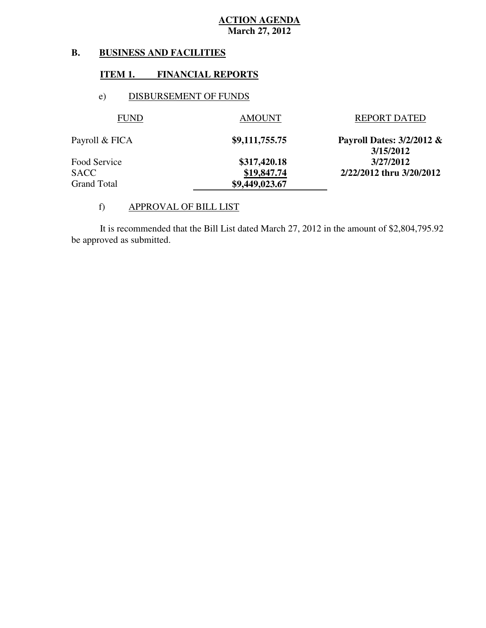#### **B. B. BUSINESS AND FACILITIES**

#### **ITEM 1. FINANCIAL REPORTS**

# e) DISBURSEMENT OF FUNDS

| <b>FUND</b>    | <b>AMOUNT</b>  | <b>REPORT DATED</b>                    |
|----------------|----------------|----------------------------------------|
| Payroll & FICA | \$9,111,755.75 | Payroll Dates: 3/2/2012 &<br>3/15/2012 |
| Food Service   | \$317,420.18   | 3/27/2012                              |
| SACC           | \$19,847.74    | 2/22/2012 thru 3/20/2012               |
| Grand Total    | \$9,449,023.67 |                                        |

# f) APPROVAL OF BILL LIST

 be approved as submitted. It is recommended that the Bill List dated March 27, 2012 in the amount of \$2,804,795.92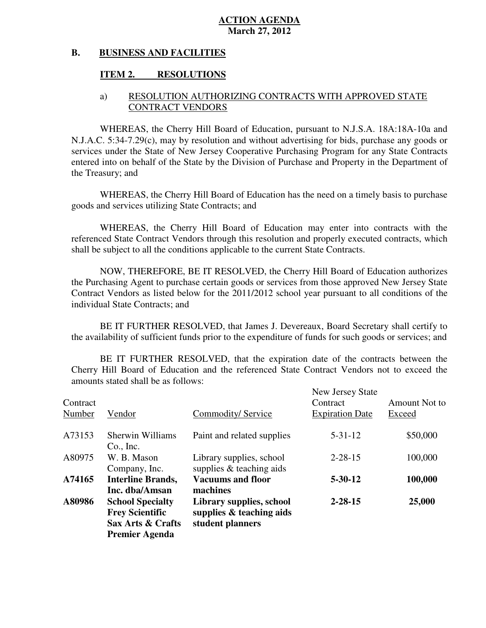#### **B. BUSINESS AND FACILITIES**

### **ITEM 2. RESOLUTIONS**

# a) RESOLUTION AUTHORIZING CONTRACTS WITH APPROVED STATE CONTRACT VENDORS

 WHEREAS, the Cherry Hill Board of Education, pursuant to N.J.S.A. 18A:18A-10a and N.J.A.C. 5:34-7.29(c), may by resolution and without advertising for bids, purchase any goods or services under the State of New Jersey Cooperative Purchasing Program for any State Contracts entered into on behalf of the State by the Division of Purchase and Property in the Department of the Treasury; and

 WHEREAS, the Cherry Hill Board of Education has the need on a timely basis to purchase goods and services utilizing State Contracts; and

 WHEREAS, the Cherry Hill Board of Education may enter into contracts with the referenced State Contract Vendors through this resolution and properly executed contracts, which shall be subject to all the conditions applicable to the current State Contracts.

 NOW, THEREFORE, BE IT RESOLVED, the Cherry Hill Board of Education authorizes the Purchasing Agent to purchase certain goods or services from those approved New Jersey State Contract Vendors as listed below for the 2011/2012 school year pursuant to all conditions of the individual State Contracts; and

 the availability of sufficient funds prior to the expenditure of funds for such goods or services; and BE IT FURTHER RESOLVED, that James J. Devereaux, Board Secretary shall certify to

 Cherry Hill Board of Education and the referenced State Contract Vendors not to exceed the amounts stated shall be as follows: BE IT FURTHER RESOLVED, that the expiration date of the contracts between the

| Contract<br>Number | Vendor                                                                 | Commodity/Service                                                           | New Jersey State<br>Contract | Amount Not to<br>Exceed |
|--------------------|------------------------------------------------------------------------|-----------------------------------------------------------------------------|------------------------------|-------------------------|
|                    |                                                                        |                                                                             | <b>Expiration Date</b>       |                         |
| A73153             | <b>Sherwin Williams</b><br>$Co.$ Inc.                                  | Paint and related supplies                                                  | $5 - 31 - 12$                | \$50,000                |
| A80975             | W. B. Mason<br>Company, Inc.                                           | Library supplies, school<br>supplies $&$ teaching aids                      | $2 - 28 - 15$                | 100,000                 |
| A74165             | <b>Interline Brands,</b><br>Inc. dba/Amsan                             | <b>Vacuums and floor</b><br>machines                                        | $5 - 30 - 12$                | 100,000                 |
| A80986             | <b>School Specialty</b><br><b>Frey Scientific</b><br>Sax Arts & Crafts | Library supplies, school<br>supplies $\&$ teaching aids<br>student planners | $2 - 28 - 15$                | 25,000                  |
|                    | Premier Agenda                                                         |                                                                             |                              |                         |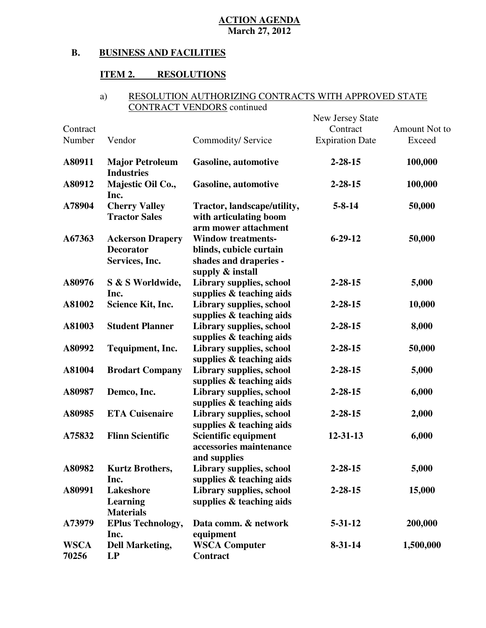#### **B. BUSINESS AND FACILITIES**

#### **ITEM 2. RESOLUTIONS**

### a) RESOLUTION AUTHORIZING CONTRACTS WITH APPROVED STATE CONTRACT VENDORS continued

| Contract             |                                                               |                                                                                                    | New Jersey State<br>Contract | Amount Not to |
|----------------------|---------------------------------------------------------------|----------------------------------------------------------------------------------------------------|------------------------------|---------------|
| Number               | Vendor                                                        | Commodity/ Service                                                                                 | <b>Expiration Date</b>       | Exceed        |
| A80911               | <b>Major Petroleum</b><br><b>Industries</b>                   | Gasoline, automotive                                                                               | $2 - 28 - 15$                | 100,000       |
| A80912               | Majestic Oil Co.,<br>Inc.                                     | <b>Gasoline</b> , automotive                                                                       | $2 - 28 - 15$                | 100,000       |
| A78904               | <b>Cherry Valley</b><br><b>Tractor Sales</b>                  | Tractor, landscape/utility,<br>with articulating boom<br>arm mower attachment                      | $5 - 8 - 14$                 | 50,000        |
| A67363               | <b>Ackerson Drapery</b><br><b>Decorator</b><br>Services, Inc. | <b>Window treatments-</b><br>blinds, cubicle curtain<br>shades and draperies -<br>supply & install | $6 - 29 - 12$                | 50,000        |
| A80976               | S & S Worldwide,<br>Inc.                                      | Library supplies, school<br>supplies & teaching aids                                               | $2 - 28 - 15$                | 5,000         |
| A81002               | Science Kit, Inc.                                             | Library supplies, school<br>supplies & teaching aids                                               | $2 - 28 - 15$                | 10,000        |
| A81003               | <b>Student Planner</b>                                        | Library supplies, school<br>supplies & teaching aids                                               | $2 - 28 - 15$                | 8,000         |
| A80992               | Tequipment, Inc.                                              | Library supplies, school<br>supplies & teaching aids                                               | $2 - 28 - 15$                | 50,000        |
| A81004               | <b>Brodart Company</b>                                        | Library supplies, school<br>supplies & teaching aids                                               | $2 - 28 - 15$                | 5,000         |
| A80987               | Demco, Inc.                                                   | Library supplies, school<br>supplies & teaching aids                                               | $2 - 28 - 15$                | 6,000         |
| A80985               | <b>ETA Cuisenaire</b>                                         | Library supplies, school<br>supplies & teaching aids                                               | $2 - 28 - 15$                | 2,000         |
| A75832               | <b>Flinn Scientific</b>                                       | Scientific equipment<br>accessories maintenance<br>and supplies                                    | 12-31-13                     | 6,000         |
| A80982               | <b>Kurtz Brothers,</b><br>Inc.                                | Library supplies, school<br>supplies & teaching aids                                               | $2 - 28 - 15$                | 5,000         |
| A80991               | Lakeshore<br>Learning<br><b>Materials</b>                     | Library supplies, school<br>supplies & teaching aids                                               | $2 - 28 - 15$                | 15,000        |
| A73979               | <b>EPlus Technology,</b><br>Inc.                              | Data comm. & network<br>equipment                                                                  | $5 - 31 - 12$                | 200,000       |
| <b>WSCA</b><br>70256 | <b>Dell Marketing,</b><br>LP                                  | <b>WSCA Computer</b><br><b>Contract</b>                                                            | $8 - 31 - 14$                | 1,500,000     |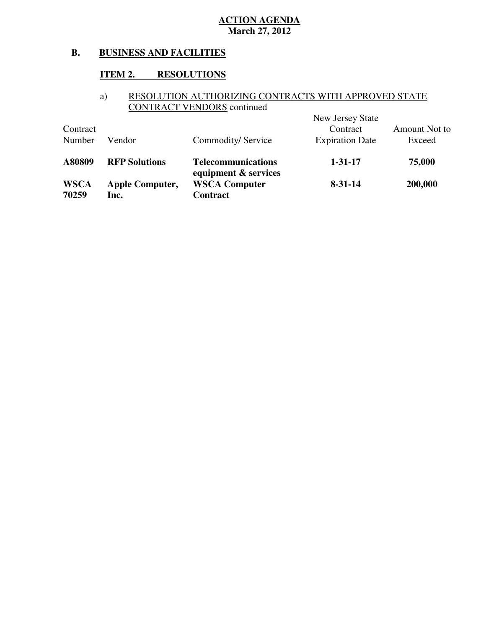#### **B. BUSINESS AND FACILITIES**

### **ITEM 2. RESOLUTIONS**

### a) RESOLUTION AUTHORIZING CONTRACTS WITH APPROVED STATE CONTRACT VENDORS continued

|             |                        |                                                   | New Jersey State       |               |
|-------------|------------------------|---------------------------------------------------|------------------------|---------------|
| Contract    |                        |                                                   | Contract               | Amount Not to |
| Number      | Vendor                 | Commodity/Service                                 | <b>Expiration Date</b> | Exceed        |
| A80809      | <b>RFP Solutions</b>   | <b>Telecommunications</b><br>equipment & services | $1 - 31 - 17$          | 75,000        |
| <b>WSCA</b> | <b>Apple Computer,</b> | <b>WSCA Computer</b>                              | $8 - 31 - 14$          | 200,000       |
| 70259       | lnc.                   | Contract                                          |                        |               |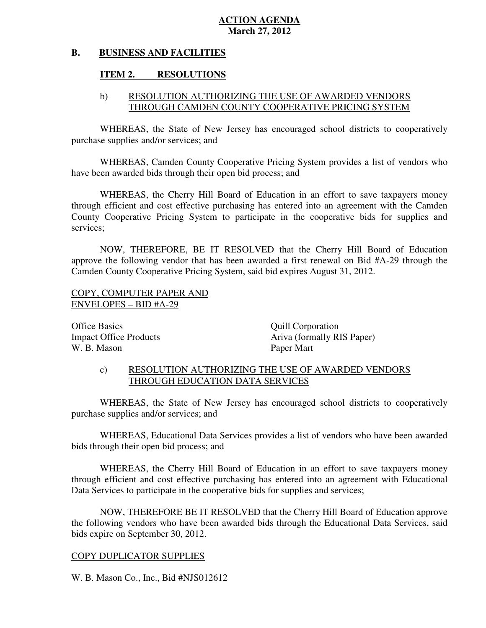#### **B. BUSINESS AND FACILITIES**

## **ITEM 2. RESOLUTIONS**

# b) RESOLUTION AUTHORIZING THE USE OF AWARDED VENDORS THROUGH CAMDEN COUNTY COOPERATIVE PRICING SYSTEM

 WHEREAS, the State of New Jersey has encouraged school districts to cooperatively purchase supplies and/or services; and

 WHEREAS, Camden County Cooperative Pricing System provides a list of vendors who have been awarded bids through their open bid process; and

 WHEREAS, the Cherry Hill Board of Education in an effort to save taxpayers money through efficient and cost effective purchasing has entered into an agreement with the Camden County Cooperative Pricing System to participate in the cooperative bids for supplies and services;

 NOW, THEREFORE, BE IT RESOLVED that the Cherry Hill Board of Education approve the following vendor that has been awarded a first renewal on Bid #A-29 through the Camden County Cooperative Pricing System, said bid expires August 31, 2012.

# COPY, COMPUTER PAPER AND ENVELOPES – BID #A-29

**Office Basics Impact Office Products** W. B. Mason Paper Mart

Quill Corporation Ariva (formally RIS Paper)

# c) RESOLUTION AUTHORIZING THE USE OF AWARDED VENDORS THROUGH EDUCATION DATA SERVICES

 WHEREAS, the State of New Jersey has encouraged school districts to cooperatively purchase supplies and/or services; and

 WHEREAS, Educational Data Services provides a list of vendors who have been awarded bids through their open bid process; and

 WHEREAS, the Cherry Hill Board of Education in an effort to save taxpayers money through efficient and cost effective purchasing has entered into an agreement with Educational Data Services to participate in the cooperative bids for supplies and services:

 NOW, THEREFORE BE IT RESOLVED that the Cherry Hill Board of Education approve the following vendors who have been awarded bids through the Educational Data Services, said bids expire on September 30, 2012.

# COPY DUPLICATOR SUPPLIES

W. B. Mason Co., Inc., Bid #NJS012612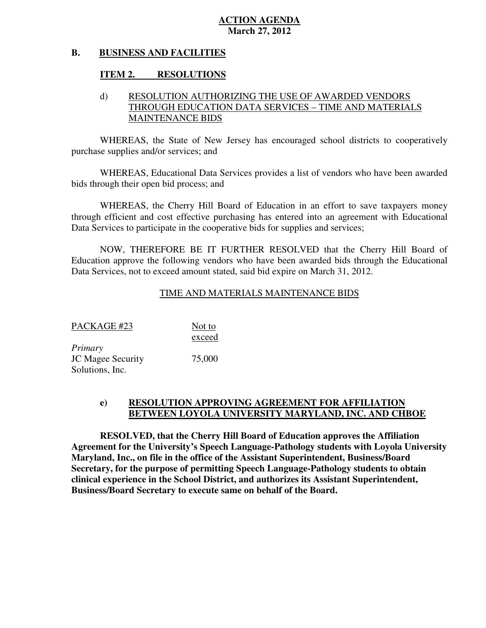#### **B. BUSINESS AND FACILITIES**

## **ITEM 2. RESOLUTIONS**

# d) RESOLUTION AUTHORIZING THE USE OF AWARDED VENDORS THROUGH EDUCATION DATA SERVICES – TIME AND MATERIALS MAINTENANCE BIDS

 WHEREAS, the State of New Jersey has encouraged school districts to cooperatively purchase supplies and/or services; and

 WHEREAS, Educational Data Services provides a list of vendors who have been awarded bids through their open bid process; and

 WHEREAS, the Cherry Hill Board of Education in an effort to save taxpayers money through efficient and cost effective purchasing has entered into an agreement with Educational Data Services to participate in the cooperative bids for supplies and services:

 NOW, THEREFORE BE IT FURTHER RESOLVED that the Cherry Hill Board of Education approve the following vendors who have been awarded bids through the Educational Data Services, not to exceed amount stated, said bid expire on March 31, 2012.

# TIME AND MATERIALS MAINTENANCE BIDS

| PACKAGE #23              | Not to |
|--------------------------|--------|
|                          | exceed |
| Primary                  |        |
| <b>JC Magee Security</b> | 75,000 |
| Solutions, Inc.          |        |

#### **e) RESOLUTION APPROVING AGREEMENT FOR AFFILIATION BETWEEN LOYOLA UNIVERSITY MARYLAND, INC. AND CHBOE**

 **RESOLVED, that the Cherry Hill Board of Education approves the Affiliation Agreement for the University's Speech Language-Pathology students with Loyola University Maryland, Inc., on file in the office of the Assistant Superintendent, Business/Board Secretary, for the purpose of permitting Speech Language-Pathology students to obtain clinical experience in the School District, and authorizes its Assistant Superintendent, Business/Board Secretary to execute same on behalf of the Board.**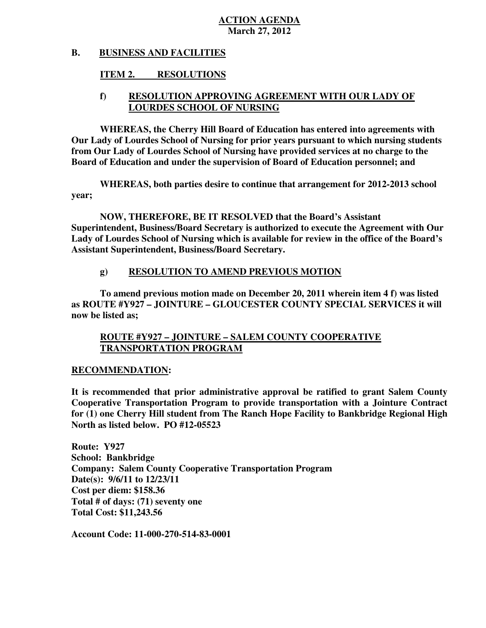#### **B. BUSINESS AND FACILITIES**

### **ITEM 2. RESOLUTIONS**

## **f) RESOLUTION APPROVING AGREEMENT WITH OUR LADY OF LOURDES SCHOOL OF NURSING**

 **WHEREAS, the Cherry Hill Board of Education has entered into agreements with Our Lady of Lourdes School of Nursing for prior years pursuant to which nursing students from Our Lady of Lourdes School of Nursing have provided services at no charge to the Board of Education and under the supervision of Board of Education personnel; and** 

 **WHEREAS, both parties desire to continue that arrangement for 2012-2013 school year;** 

 **NOW, THEREFORE, BE IT RESOLVED that the Board's Assistant Superintendent, Business/Board Secretary is authorized to execute the Agreement with Our Lady of Lourdes School of Nursing which is available for review in the office of the Board's Assistant Superintendent, Business/Board Secretary.** 

#### **g) RESOLUTION TO AMEND PREVIOUS MOTION**

 **To amend previous motion made on December 20, 2011 wherein item 4 f) was listed as ROUTE #Y927 – JOINTURE – GLOUCESTER COUNTY SPECIAL SERVICES it will now be listed as;** 

## **ROUTE #Y927 – JOINTURE – SALEM COUNTY COOPERATIVE TRANSPORTATION PROGRAM**

### **RECOMMENDATION:**

 **It is recommended that prior administrative approval be ratified to grant Salem County Cooperative Transportation Program to provide transportation with a Jointure Contract for (1) one Cherry Hill student from The Ranch Hope Facility to Bankbridge Regional High North as listed below. PO #12-05523** 

 **Route: Y927 School: Bankbridge Company: Salem County Cooperative Transportation Program Date(s): 9/6/11 to 12/23/11 Cost per diem: \$158.36 Total # of days: (71) seventy one Total Cost: \$11,243.56** 

 **Account Code: 11-000-270-514-83-0001**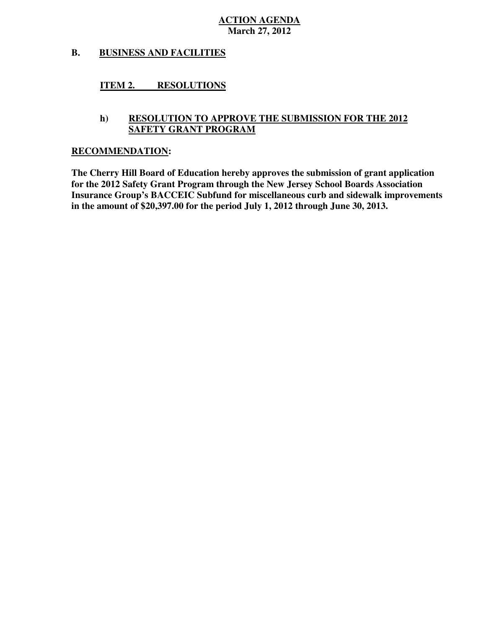#### **B. BUSINESS AND FACILITIES**

#### **ITEM 2. RESOLUTIONS**

# **h) RESOLUTION TO APPROVE THE SUBMISSION FOR THE 2012 SAFETY GRANT PROGRAM**

#### **RECOMMENDATION:**

 **The Cherry Hill Board of Education hereby approves the submission of grant application for the 2012 Safety Grant Program through the New Jersey School Boards Association Insurance Group's BACCEIC Subfund for miscellaneous curb and sidewalk improvements in the amount of \$20,397.00 for the period July 1, 2012 through June 30, 2013.**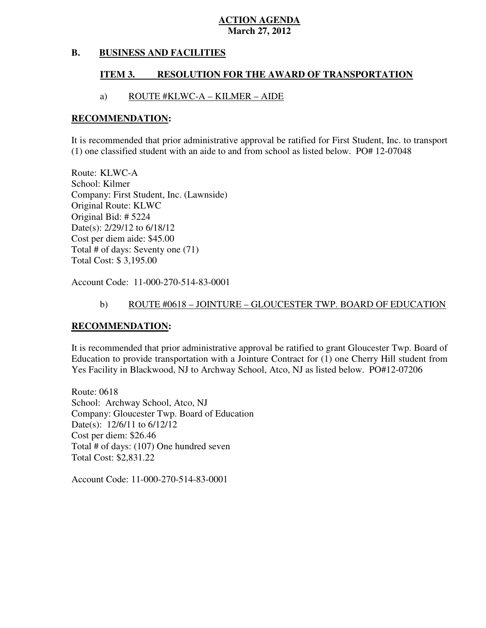#### **B. BUSINESS AND FACILITIES**

#### **ITEM 3. RESOLUTION FOR THE AWARD OF TRANSPORTATION**

# a) ROUTE #KLWC-A – KILMER – AIDE

#### **RECOMMENDATION:**

 It is recommended that prior administrative approval be ratified for First Student, Inc. to transport (1) one classified student with an aide to and from school as listed below. PO# 12-07048

 Route: KLWC-A School: Kilmer Company: First Student, Inc. (Lawnside) Original Route: KLWC Original Bid: # 5224 Date(s): 2/29/12 to 6/18/12 Cost per diem aide: \$45.00 Total # of days: Seventy one (71) Total Cost: \$ 3,195.00

Account Code: 11-000-270-514-83-0001

# b) ROUTE #0618 – JOINTURE – GLOUCESTER TWP. BOARD OF EDUCATION

### **RECOMMENDATION:**

 It is recommended that prior administrative approval be ratified to grant Gloucester Twp. Board of Education to provide transportation with a Jointure Contract for (1) one Cherry Hill student from Yes Facility in Blackwood, NJ to Archway School, Atco, NJ as listed below. PO#12-07206

 Route: 0618 School: Archway School, Atco, NJ Company: Gloucester Twp. Board of Education Date(s): 12/6/11 to 6/12/12 Cost per diem: \$26.46 Total # of days: (107) One hundred seven Total Cost: \$2,831.22

Account Code: 11-000-270-514-83-0001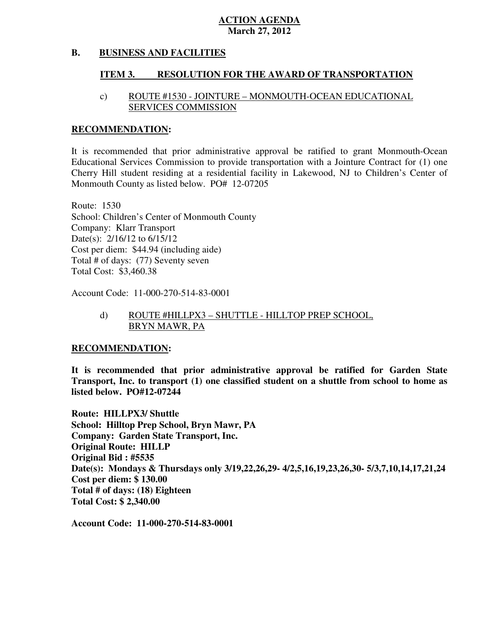#### **B. BUSINESS AND FACILITIES**

#### **ITEM 3. RESOLUTION FOR THE AWARD OF TRANSPORTATION**

# c) ROUTE #1530 - JOINTURE – MONMOUTH-OCEAN EDUCATIONAL SERVICES COMMISSION

#### **RECOMMENDATION:**

 It is recommended that prior administrative approval be ratified to grant Monmouth-Ocean Educational Services Commission to provide transportation with a Jointure Contract for (1) one Cherry Hill student residing at a residential facility in Lakewood, NJ to Children's Center of Monmouth County as listed below. PO# 12-07205

 Route: 1530 School: Children's Center of Monmouth County Company: Klarr Transport Date(s): 2/16/12 to 6/15/12 Cost per diem: \$44.94 (including aide) Total # of days: (77) Seventy seven Total Cost: \$3,460.38

Account Code: 11-000-270-514-83-0001

## BRYN MAWR, PA d) ROUTE #HILLPX3 – SHUTTLE - HILLTOP PREP SCHOOL,

#### **RECOMMENDATION:**

 **It is recommended that prior administrative approval be ratified for Garden State Transport, Inc. to transport (1) one classified student on a shuttle from school to home as listed below. PO#12-07244** 

 **Route: HILLPX3/ Shuttle School: Hilltop Prep School, Bryn Mawr, PA Company: Garden State Transport, Inc. Original Route: HILLP Original Bid : #5535 Date(s): Mondays & Thursdays only 3/19,22,26,29- 4/2,5,16,19,23,26,30- 5/3,7,10,14,17,21,24 Cost per diem: \$ 130.00 Total # of days: (18) Eighteen Total Cost: \$ 2,340.00** 

 **Account Code: 11-000-270-514-83-0001**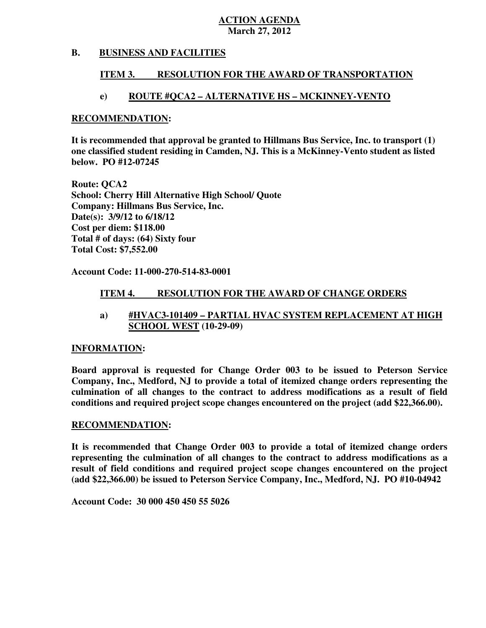#### **B. BUSINESS AND FACILITIES**

#### **ITEM 3. RESOLUTION FOR THE AWARD OF TRANSPORTATION**

## **e) ROUTE #QCA2 – ALTERNATIVE HS – MCKINNEY-VENTO**

#### **RECOMMENDATION:**

 **It is recommended that approval be granted to Hillmans Bus Service, Inc. to transport (1) one classified student residing in Camden, NJ. This is a McKinney-Vento student as listed below. PO #12-07245** 

 **Route: QCA2 School: Cherry Hill Alternative High School/ Quote Company: Hillmans Bus Service, Inc. Date(s): 3/9/12 to 6/18/12 Cost per diem: \$118.00 Total # of days: (64) Sixty four Total Cost: \$7,552.00** 

 **Account Code: 11-000-270-514-83-0001** 

#### **ITEM 4. RESOLUTION FOR THE AWARD OF CHANGE ORDERS**

## **a) #HVAC3-101409 – PARTIAL HVAC SYSTEM REPLACEMENT AT HIGH SCHOOL WEST (10-29-09)**

### **INFORMATION:**

 **Board approval is requested for Change Order 003 to be issued to Peterson Service Company, Inc., Medford, NJ to provide a total of itemized change orders representing the culmination of all changes to the contract to address modifications as a result of field conditions and required project scope changes encountered on the project (add \$22,366.00).** 

### **RECOMMENDATION:**

 **It is recommended that Change Order 003 to provide a total of itemized change orders representing the culmination of all changes to the contract to address modifications as a result of field conditions and required project scope changes encountered on the project (add \$22,366.00) be issued to Peterson Service Company, Inc., Medford, NJ. PO #10-04942** 

 **Account Code: 30 000 450 450 55 5026**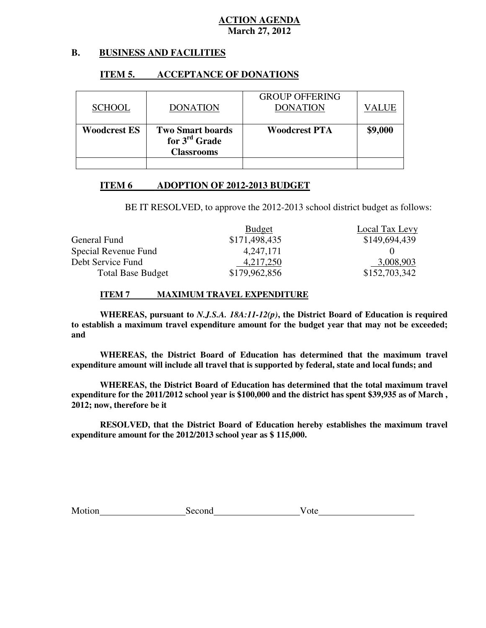#### **B. B. BUSINESS AND FACILITIES**

### **ITEM 5. ACCEPTANCE OF DONATIONS**

| <b>SCHOOL</b>       | <b>DONATION</b>                                                           | <b>GROUP OFFERING</b><br><b>DONATION</b> | VALUE   |
|---------------------|---------------------------------------------------------------------------|------------------------------------------|---------|
| <b>Woodcrest ES</b> | <b>Two Smart boards</b><br>for $3^{\text{rd}}$ Grade<br><b>Classrooms</b> | <b>Woodcrest PTA</b>                     | \$9,000 |

#### **ITEM 6 ADOPTION OF 2012-2013 BUDGET**

BE IT RESOLVED, to approve the 2012-2013 school district budget as follows:

|                          | <b>Budget</b> | Local Tax Levy |
|--------------------------|---------------|----------------|
| General Fund             | \$171,498,435 | \$149,694,439  |
| Special Revenue Fund     | 4,247,171     |                |
| Debt Service Fund        | 4,217,250     | 3,008,903      |
| <b>Total Base Budget</b> | \$179,962,856 | \$152,703,342  |

#### **ITEM 7 MAXIMUM TRAVEL EXPENDITURE**

 **WHEREAS, pursuant to** *N.J.S.A. 18A:11-12(p)***, the District Board of Education is required to establish a maximum travel expenditure amount for the budget year that may not be exceeded; and** 

 **WHEREAS, the District Board of Education has determined that the maximum travel expenditure amount will include all travel that is supported by federal, state and local funds; and** 

 **WHEREAS, the District Board of Education has determined that the total maximum travel expenditure for the 2011/2012 school year is \$100,000 and the district has spent \$39,935 as of March , 2012; now, therefore be it** 

 **RESOLVED, that the District Board of Education hereby establishes the maximum travel expenditure amount for the 2012/2013 school year as \$ 115,000.** 

Motion Second Vote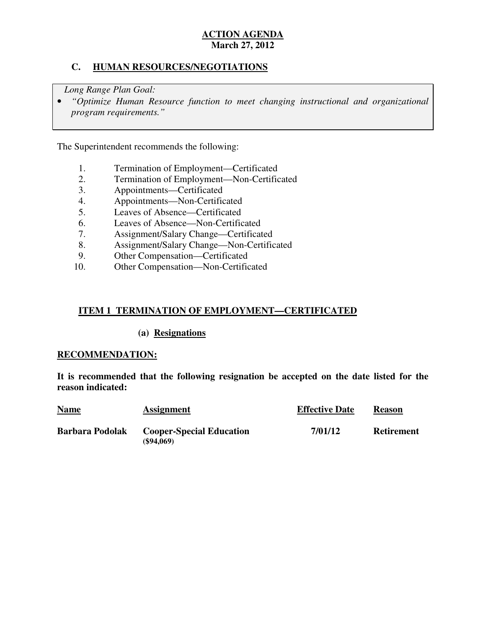## **C. HUMAN RESOURCES/NEGOTIATIONS**

*Long Range Plan Goal:* 

**•** "Optimize Human Resource function to meet changing instructional and organizational *program requirements."* 

The Superintendent recommends the following:

- 1. Termination of Employment—Certificated
- 2. Termination of Employment—Non-Certificated
- 3. Appointments—Certificated
- 4. Appointments—Non-Certificated
- 5. Leaves of Absence—Certificated
- 6. Leaves of Absence—Non-Certificated
- 7. Assignment/Salary Change—Certificated
- 8. Assignment/Salary Change—Non-Certificated
- 9. Other Compensation—Certificated
- 10. 10. Other Compensation—Non-Certificated

## **ITEM 1 TERMINATION OF EMPLOYMENT—CERTIFICATED**

#### **(a) Resignations**

#### **RECOMMENDATION:**

 **It is recommended that the following resignation be accepted on the date listed for the reason indicated:** 

| <b>Name</b>            | <b>Assignment</b>                                   | <b>Effective Date</b> | <b>Reason</b>     |
|------------------------|-----------------------------------------------------|-----------------------|-------------------|
| <b>Barbara Podolak</b> | <b>Cooper-Special Education</b><br>$($ \$94,069 $)$ | 7/01/12               | <b>Retirement</b> |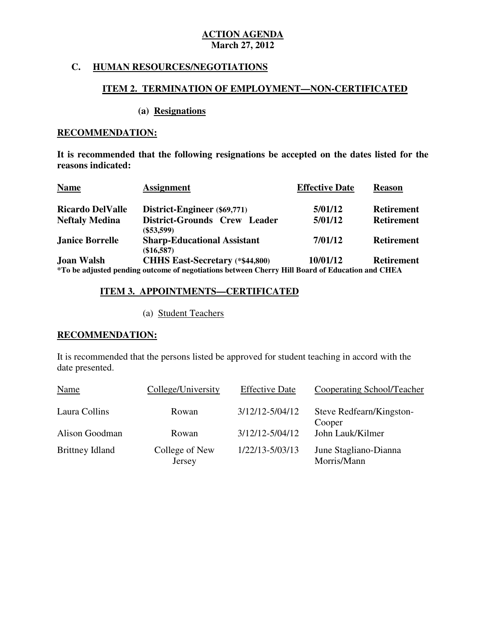# **C. HUMAN RESOURCES/NEGOTIATIONS**

#### **ITEM 2. TERMINATION OF EMPLOYMENT—NON-CERTIFICATED**

#### **(a) Resignations**

### **RECOMMENDATION:**

 **It is recommended that the following resignations be accepted on the dates listed for the reasons indicated:** 

| <b>Name</b>             | <b>Assignment</b>                                                                                                                         | <b>Effective Date</b> | <b>Reason</b>     |
|-------------------------|-------------------------------------------------------------------------------------------------------------------------------------------|-----------------------|-------------------|
| <b>Ricardo DelValle</b> | District-Engineer (\$69,771)                                                                                                              | 5/01/12               | <b>Retirement</b> |
| <b>Neftaly Medina</b>   | District-Grounds Crew Leader<br>$(\$53,599)$                                                                                              | 5/01/12               | <b>Retirement</b> |
| <b>Janice Borrelle</b>  | <b>Sharp-Educational Assistant</b><br>$(\$16,587)$                                                                                        | 7/01/12               | <b>Retirement</b> |
| <b>Joan Walsh</b>       | <b>CHHS East-Secretary (*\$44,800)</b><br>*To be adjusted pending outcome of negotiations between Cherry Hill Board of Education and CHEA | 10/01/12              | <b>Retirement</b> |

### **ITEM 3. APPOINTMENTS—CERTIFICATED**

(a) Student Teachers

#### **RECOMMENDATION:**

 It is recommended that the persons listed be approved for student teaching in accord with the date presented.

| Name                   | College/University       | <b>Effective Date</b> | Cooperating School/Teacher           |
|------------------------|--------------------------|-----------------------|--------------------------------------|
| Laura Collins          | Rowan                    | 3/12/12-5/04/12       | Steve Redfearn/Kingston-<br>Cooper   |
| Alison Goodman         | Rowan                    | $3/12/12 - 5/04/12$   | John Lauk/Kilmer                     |
| <b>Brittney Idland</b> | College of New<br>Jersey | 1/22/13-5/03/13       | June Stagliano-Dianna<br>Morris/Mann |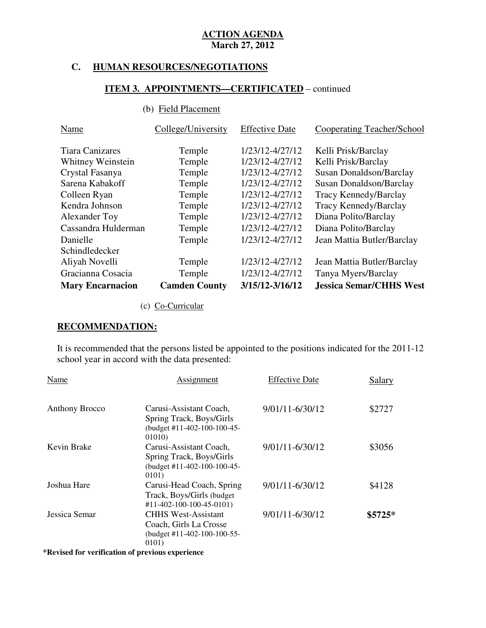# **C. HUMAN RESOURCES/NEGOTIATIONS**

## **ITEM 3. APPOINTMENTS—CERTIFICATED** – continued

# (b) Field Placement

| Name                    | College/University   | <b>Effective Date</b> | Cooperating Teacher/School     |
|-------------------------|----------------------|-----------------------|--------------------------------|
| <b>Tiara Canizares</b>  | Temple               | 1/23/12-4/27/12       | Kelli Prisk/Barclay            |
| Whitney Weinstein       | Temple               | 1/23/12-4/27/12       | Kelli Prisk/Barclay            |
| Crystal Fasanya         | Temple               | 1/23/12-4/27/12       | Susan Donaldson/Barclay        |
| Sarena Kabakoff         | Temple               | 1/23/12-4/27/12       | Susan Donaldson/Barclay        |
| Colleen Ryan            | Temple               | 1/23/12-4/27/12       | Tracy Kennedy/Barclay          |
| Kendra Johnson          | Temple               | 1/23/12-4/27/12       | Tracy Kennedy/Barclay          |
| Alexander Toy           | Temple               | 1/23/12-4/27/12       | Diana Polito/Barclay           |
| Cassandra Hulderman     | Temple               | 1/23/12-4/27/12       | Diana Polito/Barclay           |
| Danielle                | Temple               | 1/23/12-4/27/12       | Jean Mattia Butler/Barclay     |
| Schindledecker          |                      |                       |                                |
| Aliyah Novelli          | Temple               | 1/23/12-4/27/12       | Jean Mattia Butler/Barclay     |
| Gracianna Cosacia       | Temple               | 1/23/12-4/27/12       | Tanya Myers/Barclay            |
| <b>Mary Encarnacion</b> | <b>Camden County</b> | $3/15/12 - 3/16/12$   | <b>Jessica Semar/CHHS West</b> |

(c) Co-Curricular

### **RECOMMENDATION:**

 It is recommended that the persons listed be appointed to the positions indicated for the 2011-12 school year in accord with the data presented:

| Name                  | Assignment                                                                                      | <b>Effective Date</b> | <b>Salary</b> |
|-----------------------|-------------------------------------------------------------------------------------------------|-----------------------|---------------|
| <b>Anthony Brocco</b> | Carusi-Assistant Coach,<br>Spring Track, Boys/Girls<br>(budget #11-402-100-100-45-              | 9/01/11-6/30/12       | \$2727        |
| Kevin Brake           | 01010)<br>Carusi-Assistant Coach,                                                               | 9/01/11-6/30/12       | \$3056        |
|                       | Spring Track, Boys/Girls<br>(budget #11-402-100-100-45-<br>0101)                                |                       |               |
| Joshua Hare           | Carusi-Head Coach, Spring<br>Track, Boys/Girls (budget)<br>$\#11 - 402 - 100 - 100 - 45 - 0101$ | 9/01/11-6/30/12       | \$4128        |
| Jessica Semar         | <b>CHHS West-Assistant</b><br>Coach, Girls La Crosse<br>(budget #11-402-100-100-55-<br>0101)    | 9/01/11-6/30/12       | $$5725*$      |

 **\*Revised for verification of previous experience**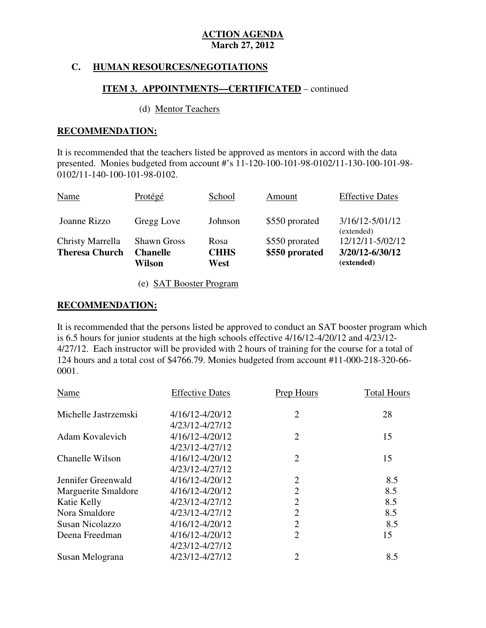### **C. HUMAN RESOURCES/NEGOTIATIONS**

### **ITEM 3. APPOINTMENTS—CERTIFICATED** – continued

#### (d) Mentor Teachers

#### **RECOMMENDATION:**

 It is recommended that the teachers listed be approved as mentors in accord with the data presented. Monies budgeted from account #'s 11-120-100-101-98-0102/11-130-100-101-98 0102/11-140-100-101-98-0102.

| <b>Theresa Church</b> | <b>Chanelle</b><br>Wilson | <b>CHHS</b><br>West | \$550 prorated | 3/20/12-6/30/12<br>(extended)  |
|-----------------------|---------------------------|---------------------|----------------|--------------------------------|
| Christy Marrella      | <b>Shawn Gross</b>        | Rosa                | \$550 prorated | (extended)<br>12/12/11-5/02/12 |
| Joanne Rizzo          | Gregg Love                | Johnson             | \$550 prorated | $3/16/12 - 5/01/12$            |
| <b>Name</b>           | Protégé                   | School              | Amount         | <b>Effective Dates</b>         |

(e) SAT Booster Program

#### **RECOMMENDATION:**

 It is recommended that the persons listed be approved to conduct an SAT booster program which is 6.5 hours for junior students at the high schools effective 4/16/12-4/20/12 and 4/23/12 4/27/12. Each instructor will be provided with 2 hours of training for the course for a total of 124 hours and a total cost of \$4766.79. Monies budgeted from account #11-000-218-320-66 0001.

| Name                 | <b>Effective Dates</b> | Prep Hours     | <b>Total Hours</b> |
|----------------------|------------------------|----------------|--------------------|
| Michelle Jastrzemski | 4/16/12-4/20/12        | $\overline{2}$ | 28                 |
|                      | 4/23/12-4/27/12        |                |                    |
| Adam Kovalevich      | 4/16/12-4/20/12        | $\overline{2}$ | 15                 |
|                      | 4/23/12-4/27/12        |                |                    |
| Chanelle Wilson      | 4/16/12-4/20/12        | $\overline{2}$ | 15                 |
|                      | 4/23/12-4/27/12        |                |                    |
| Jennifer Greenwald   | 4/16/12-4/20/12        | $\overline{2}$ | 8.5                |
| Marguerite Smaldore  | 4/16/12-4/20/12        | $\overline{2}$ | 8.5                |
| Katie Kelly          | 4/23/12-4/27/12        | $\overline{2}$ | 8.5                |
| Nora Smaldore        | 4/23/12-4/27/12        | $\overline{2}$ | 8.5                |
| Susan Nicolazzo      | 4/16/12-4/20/12        | $\overline{2}$ | 8.5                |
| Deena Freedman       | 4/16/12-4/20/12        | $\overline{2}$ | 15                 |
|                      | 4/23/12-4/27/12        |                |                    |
| Susan Melograna      | 4/23/12-4/27/12        | $\overline{2}$ | 8.5                |
|                      |                        |                |                    |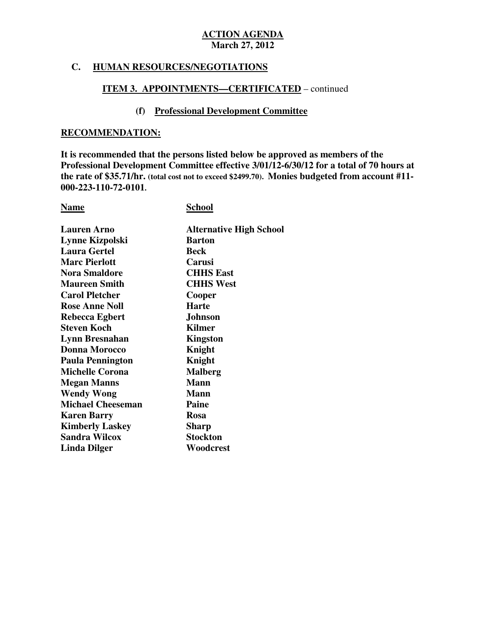#### **C. HUMAN RESOURCES/NEGOTIATIONS**

## **ITEM 3. APPOINTMENTS—CERTIFICATED** – continued

### **(f) Professional Development Committee**

#### **RECOMMENDATION:**

 **It is recommended that the persons listed below be approved as members of the Professional Development Committee effective 3/01/12-6/30/12 for a total of 70 hours at the rate of \$35.71/hr. (total cost not to exceed \$2499.70). Monies budgeted from account #11 000-223-110-72-0101.** 

**School** 

| <b>Lauren Arno</b>       | <b>Alternative High School</b> |
|--------------------------|--------------------------------|
| Lynne Kizpolski          | <b>Barton</b>                  |
| <b>Laura Gertel</b>      | <b>Beck</b>                    |
| <b>Marc Pierlott</b>     | Carusi                         |
| <b>Nora Smaldore</b>     | <b>CHHS East</b>               |
| <b>Maureen Smith</b>     | <b>CHHS West</b>               |
| <b>Carol Pletcher</b>    | Cooper                         |
| <b>Rose Anne Noll</b>    | <b>Harte</b>                   |
| Rebecca Egbert           | <b>Johnson</b>                 |
| Steven Koch              | <b>Kilmer</b>                  |
| Lynn Bresnahan           | Kingston                       |
| <b>Donna Morocco</b>     | Knight                         |
| <b>Paula Pennington</b>  | Knight                         |
| <b>Michelle Corona</b>   | <b>Malberg</b>                 |
| <b>Megan Manns</b>       | <b>Mann</b>                    |
| <b>Wendy Wong</b>        | <b>Mann</b>                    |
| <b>Michael Cheeseman</b> | Paine                          |
| <b>Karen Barry</b>       | <b>Rosa</b>                    |
| <b>Kimberly Laskey</b>   | <b>Sharp</b>                   |
| <b>Sandra Wilcox</b>     | <b>Stockton</b>                |
| Linda Dilger             | Woodcrest                      |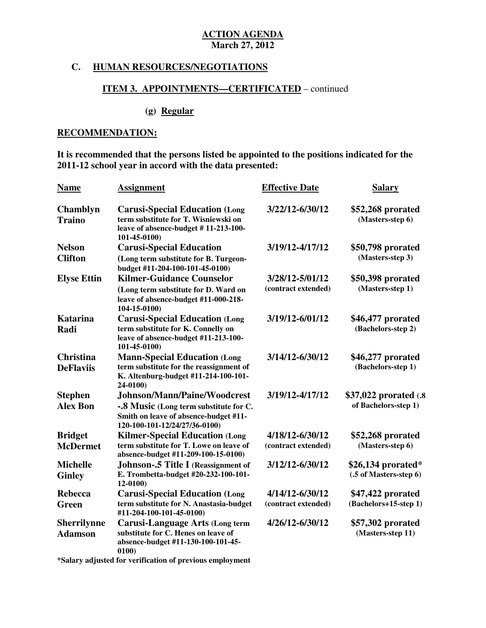# **C. HUMAN RESOURCES/NEGOTIATIONS**

## **ITEM 3. APPOINTMENTS—CERTIFICATED** – continued

#### **(g) Regular**

## **RECOMMENDATION:**

 **It is recommended that the persons listed be appointed to the positions indicated for the 2011-12 school year in accord with the data presented:** 

| <b>Name</b>               | <b>Assignment</b>                                                                                                                     | <b>Effective Date</b> | <b>Salary</b>                           |
|---------------------------|---------------------------------------------------------------------------------------------------------------------------------------|-----------------------|-----------------------------------------|
| Chamblyn<br><b>Traino</b> | <b>Carusi-Special Education (Long</b><br>term substitute for T. Wisniewski on<br>leave of absence-budget #11-213-100-<br>101-45-0100) | 3/22/12-6/30/12       | \$52,268 prorated<br>(Masters-step 6)   |
| <b>Nelson</b>             | <b>Carusi-Special Education</b>                                                                                                       | 3/19/12-4/17/12       | \$50,798 prorated                       |
| <b>Clifton</b>            | (Long term substitute for B. Turgeon-<br>budget #11-204-100-101-45-0100)                                                              |                       | (Masters-step 3)                        |
| <b>Elyse Ettin</b>        | <b>Kilmer-Guidance Counselor</b>                                                                                                      | 3/28/12-5/01/12       | \$50,398 prorated                       |
|                           | (Long term substitute for D. Ward on<br>leave of absence-budget #11-000-218-<br>104-15-0100)                                          | (contract extended)   | (Masters-step 1)                        |
| <b>Katarina</b><br>Radi   | <b>Carusi-Special Education (Long</b><br>term substitute for K. Connelly on                                                           | 3/19/12-6/01/12       | \$46,477 prorated<br>(Bachelors-step 2) |
|                           | leave of absence-budget #11-213-100-<br>$101-45-0100$                                                                                 |                       |                                         |
| <b>Christina</b>          | <b>Mann-Special Education (Long</b>                                                                                                   | 3/14/12-6/30/12       | \$46,277 prorated                       |
| <b>DeFlaviis</b>          | term substitute for the reassignment of<br>K. Altenburg-budget #11-214-100-101-<br>$24-0100$                                          |                       | (Bachelors-step 1)                      |
| <b>Stephen</b>            | Johnson/Mann/Paine/Woodcrest                                                                                                          | 3/19/12-4/17/12       | \$37,022 prorated (.8)                  |
| <b>Alex Bon</b>           | -.8 Music (Long term substitute for C.<br>Smith on leave of absence-budget #11-<br>120-100-101-12/24/27/36-0100)                      |                       | of Bachelors-step 1)                    |
| <b>Bridget</b>            | <b>Kilmer-Special Education (Long</b>                                                                                                 | 4/18/12-6/30/12       | \$52,268 prorated                       |
| <b>McDermet</b>           | term substitute for T. Lowe on leave of<br>absence-budget #11-209-100-15-0100)                                                        | (contract extended)   | (Masters-step 6)                        |
| <b>Michelle</b>           | <b>Johnson-.5 Title I (Reassignment of</b>                                                                                            | 3/12/12-6/30/12       | $$26,134$ prorated*                     |
| <b>Ginley</b>             | E. Trombetta-budget #20-232-100-101-<br>$12 - 0100$                                                                                   |                       | (.5 of Masters-step 6)                  |
| <b>Rebecca</b>            | <b>Carusi-Special Education (Long</b>                                                                                                 | 4/14/12-6/30/12       | \$47,422 prorated                       |
| Green                     | term substitute for N. Anastasia-budget<br>#11-204-100-101-45-0100)                                                                   | (contract extended)   | (Bachelors+15-step 1)                   |
| <b>Sherrilynne</b>        | Carusi-Language Arts (Long term                                                                                                       | 4/26/12-6/30/12       | \$57,302 prorated                       |
| <b>Adamson</b>            | substitute for C. Henes on leave of<br>absence-budget #11-130-100-101-45-<br>0100)                                                    |                       | (Masters-step 11)                       |
|                           |                                                                                                                                       |                       |                                         |

 **\*Salary adjusted for verification of previous employment**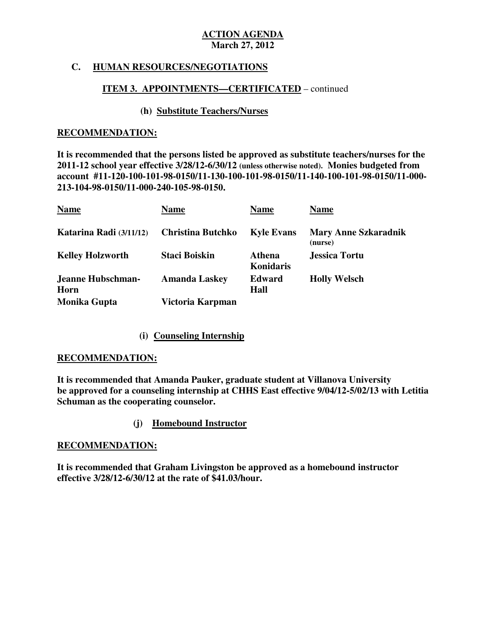## **C. HUMAN RESOURCES/NEGOTIATIONS**

### **ITEM 3. APPOINTMENTS—CERTIFICATED** – continued

#### **(h) Substitute Teachers/Nurses**

#### **RECOMMENDATION:**

 **It is recommended that the persons listed be approved as substitute teachers/nurses for the 2011-12 school year effective 3/28/12-6/30/12 (unless otherwise noted). Monies budgeted from account #11-120-100-101-98-0150/11-130-100-101-98-0150/11-140-100-101-98-0150/11-000 213-104-98-0150/11-000-240-105-98-0150.** 

| <b>Name</b>               | <b>Name</b>              | <b>Name</b>                | <b>Name</b>                            |
|---------------------------|--------------------------|----------------------------|----------------------------------------|
| Katarina Radi (3/11/12)   | <b>Christina Butchko</b> | <b>Kyle Evans</b>          | <b>Mary Anne Szkaradnik</b><br>(nurse) |
| <b>Kelley Holzworth</b>   | <b>Staci Boiskin</b>     | <b>Athena</b><br>Konidaris | <b>Jessica Tortu</b>                   |
| Jeanne Hubschman-<br>Horn | <b>Amanda Laskey</b>     | <b>Edward</b><br>Hall      | <b>Holly Welsch</b>                    |
| <b>Monika Gupta</b>       | Victoria Karpman         |                            |                                        |

## **(i) Counseling Internship**

#### **RECOMMENDATION:**

 **RECOMMENDATION: It is recommended that Amanda Pauker, graduate student at Villanova University be approved for a counseling internship at CHHS East effective 9/04/12-5/02/13 with Letitia Schuman as the cooperating counselor.** 

### **(j) Homebound Instructor**

#### **RECOMMENDATION:**

 **It is recommended that Graham Livingston be approved as a homebound instructor effective 3/28/12-6/30/12 at the rate of \$41.03/hour.**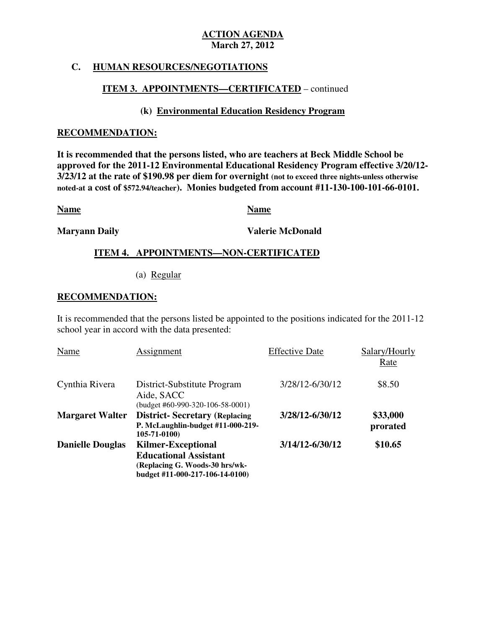### **C. HUMAN RESOURCES/NEGOTIATIONS**

## **ITEM 3. APPOINTMENTS—CERTIFICATED** – continued

## **(k) Environmental Education Residency Program**

#### **RECOMMENDATION:**

 **It is recommended that the persons listed, who are teachers at Beck Middle School be approved for the 2011-12 Environmental Educational Residency Program effective 3/20/12 3/23/12 at the rate of \$190.98 per diem for overnight (not to exceed three nights-unless otherwise noted-at a cost of \$572.94/teacher). Monies budgeted from account #11-130-100-101-66-0101.** 

**Name Name Name** 

**Maryann Daily** 

**Valerie McDonald** 

# **ITEM 4. APPOINTMENTS—NON-CERTIFICATED**

(a) Regular

### **RECOMMENDATION:**

 It is recommended that the persons listed be appointed to the positions indicated for the 2011-12 school year in accord with the data presented:

| Name                    | Assignment                                                                                                                     | <b>Effective Date</b> | Salary/Hourly<br>Rate |
|-------------------------|--------------------------------------------------------------------------------------------------------------------------------|-----------------------|-----------------------|
| Cynthia Rivera          | District-Substitute Program<br>Aide, SACC<br>$(budget #60-990-320-106-58-0001)$                                                | 3/28/12-6/30/12       | \$8.50                |
| <b>Margaret Walter</b>  | <b>District-Secretary (Replacing</b><br>P. McLaughlin-budget #11-000-219-<br>$105 - 71 - 0100$                                 | 3/28/12-6/30/12       | \$33,000<br>prorated  |
| <b>Danielle Douglas</b> | <b>Kilmer-Exceptional</b><br><b>Educational Assistant</b><br>(Replacing G. Woods-30 hrs/wk-<br>budget #11-000-217-106-14-0100) | 3/14/12-6/30/12       | \$10.65               |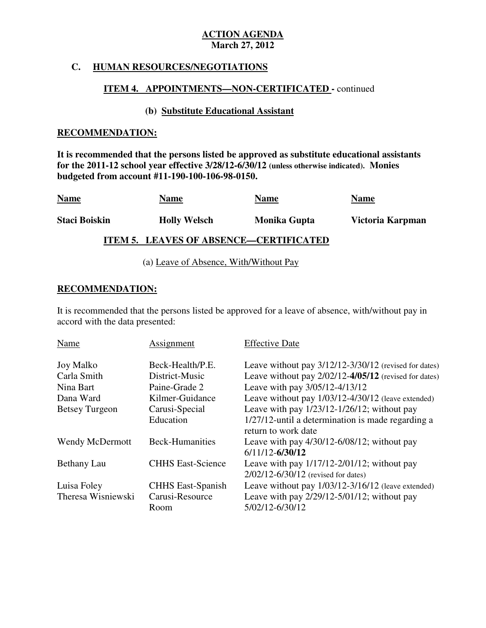#### **C. HUMAN RESOURCES/NEGOTIATIONS**

#### **ITEM 4. APPOINTMENTS—NON-CERTIFICATED -** continued

### **(b) Substitute Educational Assistant**

#### **RECOMMENDATION:**

 **It is recommended that the persons listed be approved as substitute educational assistants for the 2011-12 school year effective 3/28/12-6/30/12 (unless otherwise indicated). Monies budgeted from account #11-190-100-106-98-0150.** 

| <b>Name</b>          | <b>Name</b>         | <b>Name</b>                                   | <b>Name</b>      |
|----------------------|---------------------|-----------------------------------------------|------------------|
| <b>Staci Boiskin</b> | <b>Holly Welsch</b> | <b>Monika Gupta</b>                           | Victoria Karpman |
|                      |                     | <b>ITEM 5. LEAVES OF ABSENCE—CERTIFICATED</b> |                  |

(a) Leave of Absence, With/Without Pay

#### **RECOMMENDATION:**

 It is recommended that the persons listed be approved for a leave of absence, with/without pay in accord with the data presented:

| <b>Name</b>           | Assignment               | <b>Effective Date</b>                                                                       |
|-----------------------|--------------------------|---------------------------------------------------------------------------------------------|
| <b>Joy Malko</b>      | Beck-Health/P.E.         | Leave without pay 3/12/12-3/30/12 (revised for dates)                                       |
| Carla Smith           | District-Music           | Leave without pay $2/02/12 - 4/05/12$ (revised for dates)                                   |
| Nina Bart             | Paine-Grade 2            | Leave with pay 3/05/12-4/13/12                                                              |
| Dana Ward             | Kilmer-Guidance          | Leave without pay 1/03/12-4/30/12 (leave extended)                                          |
| <b>Betsey Turgeon</b> | Carusi-Special           | Leave with pay $1/23/12 - 1/26/12$ ; without pay                                            |
|                       | Education                | 1/27/12-until a determination is made regarding a<br>return to work date                    |
| Wendy McDermott       | <b>Beck-Humanities</b>   | Leave with pay $4/30/12 - 6/08/12$ ; without pay<br>$6/11/12 - 6/30/12$                     |
| Bethany Lau           | <b>CHHS East-Science</b> | Leave with pay $1/17/12 - 2/01/12$ ; without pay<br>$2/02/12 - 6/30/12$ (revised for dates) |
| Luisa Foley           | <b>CHHS East-Spanish</b> | Leave without pay $1/03/12-3/16/12$ (leave extended)                                        |
| Theresa Wisniewski    | Carusi-Resource          | Leave with pay $2/29/12 - 5/01/12$ ; without pay                                            |
|                       | Room                     | 5/02/12-6/30/12                                                                             |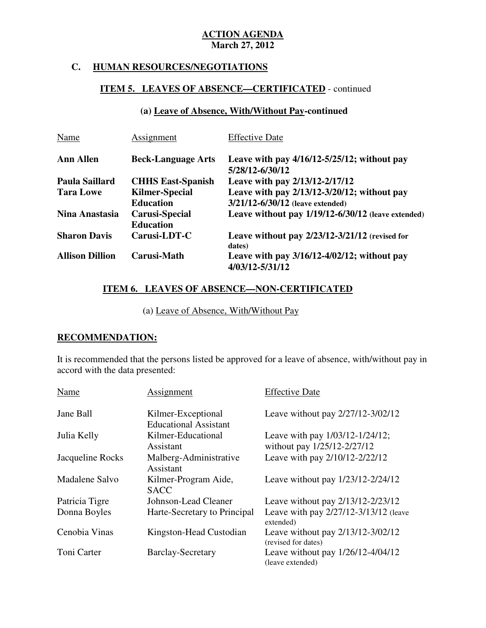# **C. HUMAN RESOURCES/NEGOTIATIONS**

# **ITEM 5. LEAVES OF ABSENCE—CERTIFICATED** - continued

# **(a) Leave of Absence, With/Without Pay-continued**

| Name                   | Assignment                                | <b>Effective Date</b>                                               |
|------------------------|-------------------------------------------|---------------------------------------------------------------------|
| <b>Ann Allen</b>       | <b>Beck-Language Arts</b>                 | Leave with pay $4/16/12 - 5/25/12$ ; without pay<br>5/28/12-6/30/12 |
| Paula Saillard         | <b>CHHS East-Spanish</b>                  | Leave with pay 2/13/12-2/17/12                                      |
| <b>Tara Lowe</b>       | <b>Kilmer-Special</b>                     | Leave with pay $2/13/12 - 3/20/12$ ; without pay                    |
|                        | <b>Education</b>                          | $3/21/12 - 6/30/12$ (leave extended)                                |
| Nina Anastasia         | <b>Carusi-Special</b><br><b>Education</b> | Leave without pay 1/19/12-6/30/12 (leave extended)                  |
| <b>Sharon Davis</b>    | Carusi-LDT-C                              | Leave without pay $2/23/12-3/21/12$ (revised for<br>dates)          |
| <b>Allison Dillion</b> | Carusi-Math                               | Leave with pay $3/16/12 - 4/02/12$ ; without pay<br>4/03/12-5/31/12 |

## **ITEM 6. LEAVES OF ABSENCE—NON-CERTIFICATED**

(a) Leave of Absence, With/Without Pay

# **RECOMMENDATION:**

 It is recommended that the persons listed be approved for a leave of absence, with/without pay in accord with the data presented:

| Name             | Assignment                                         | <b>Effective Date</b>                                               |
|------------------|----------------------------------------------------|---------------------------------------------------------------------|
| Jane Ball        | Kilmer-Exceptional<br><b>Educational Assistant</b> | Leave without pay 2/27/12-3/02/12                                   |
| Julia Kelly      | Kilmer-Educational<br>Assistant                    | Leave with pay $1/03/12 - 1/24/12$ ;<br>without pay 1/25/12-2/27/12 |
| Jacqueline Rocks | Malberg-Administrative<br>Assistant                | Leave with pay 2/10/12-2/22/12                                      |
| Madalene Salvo   | Kilmer-Program Aide,<br><b>SACC</b>                | Leave without pay 1/23/12-2/24/12                                   |
| Patricia Tigre   | Johnson-Lead Cleaner                               | Leave without pay 2/13/12-2/23/12                                   |
| Donna Boyles     | Harte-Secretary to Principal                       | Leave with pay 2/27/12-3/13/12 (leave<br>extended)                  |
| Cenobia Vinas    | Kingston-Head Custodian                            | Leave without pay 2/13/12-3/02/12<br>(revised for dates)            |
| Toni Carter      | <b>Barclay-Secretary</b>                           | Leave without pay $1/26/12 - 4/04/12$<br>(leave extended)           |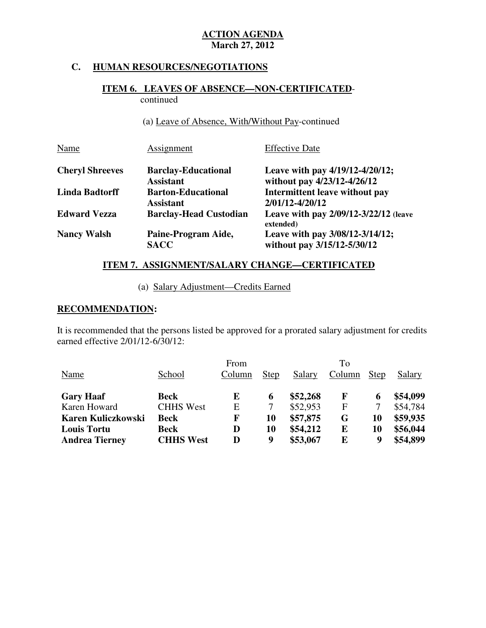# **C. HUMAN RESOURCES/NEGOTIATIONS**

### **ITEM 6. LEAVES OF ABSENCE—NON-CERTIFICATED**continued

(a) Leave of Absence, With/Without Pay-continued

| Name                   | Assignment                                     | <b>Effective Date</b>                                          |
|------------------------|------------------------------------------------|----------------------------------------------------------------|
| <b>Cheryl Shreeves</b> | <b>Barclay-Educational</b><br><b>Assistant</b> | Leave with pay 4/19/12-4/20/12;<br>without pay 4/23/12-4/26/12 |
| <b>Linda Badtorff</b>  | <b>Barton-Educational</b><br><b>Assistant</b>  | Intermittent leave without pay<br>2/01/12-4/20/12              |
| <b>Edward Vezza</b>    | <b>Barclay-Head Custodian</b>                  | Leave with pay 2/09/12-3/22/12 (leave<br>extended)             |
| <b>Nancy Walsh</b>     | Paine-Program Aide,<br><b>SACC</b>             | Leave with pay 3/08/12-3/14/12;<br>without pay 3/15/12-5/30/12 |

# **ITEM 7. ASSIGNMENT/SALARY CHANGE—CERTIFICATED**

(a) Salary Adjustment—Credits Earned

### **RECOMMENDATION:**

 It is recommended that the persons listed be approved for a prorated salary adjustment for credits earned effective 2/01/12-6/30/12:

|                           |                  | From   |             |          | To           |             |          |
|---------------------------|------------------|--------|-------------|----------|--------------|-------------|----------|
| Name                      | School           | Column | <b>Step</b> | Salary   | Column       | <b>Step</b> | Salary   |
| <b>Gary Haaf</b>          | <b>Beck</b>      | E      | 6           | \$52,268 | $\mathbf{F}$ | 6           | \$54,099 |
| Karen Howard              | <b>CHHS West</b> | E      |             | \$52,953 | F            |             | \$54,784 |
| <b>Karen Kuliczkowski</b> | <b>Beck</b>      | F      | 10          | \$57,875 | G            | 10          | \$59,935 |
| <b>Louis Tortu</b>        | <b>Beck</b>      | D      | 10          | \$54,212 | E            | 10          | \$56,044 |
| <b>Andrea Tierney</b>     | <b>CHHS West</b> | D      | 9           | \$53,067 | E            | 9           | \$54,899 |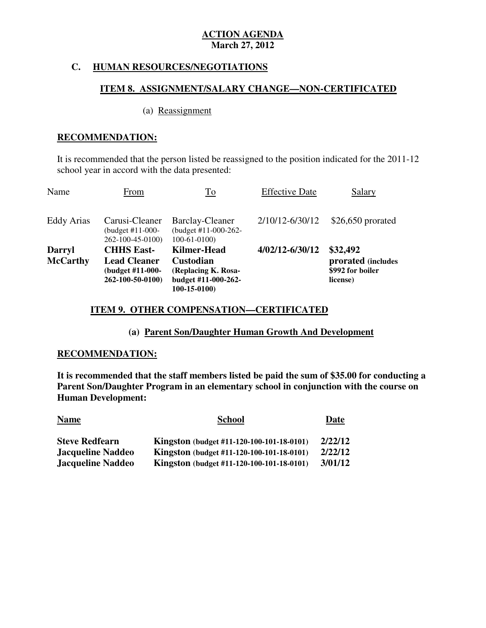### **C. HUMAN RESOURCES/NEGOTIATIONS**

### **ITEM 8. ASSIGNMENT/SALARY CHANGE—NON-CERTIFICATED**

#### (a) Reassignment

## **RECOMMENDATION:**

 It is recommended that the person listed be reassigned to the position indicated for the 2011-12 school year in accord with the data presented:

| Name                             | From                                                                             | To                                                                                                    | <b>Effective Date</b> | Salary                                                         |
|----------------------------------|----------------------------------------------------------------------------------|-------------------------------------------------------------------------------------------------------|-----------------------|----------------------------------------------------------------|
| <b>Eddy Arias</b>                | Carusi-Cleaner<br>(budget $#11-000-$<br>262-100-45-0100)                         | <b>Barclay-Cleaner</b><br>(budget #11-000-262-<br>$100-61-0100$                                       | 2/10/12-6/30/12       | $$26,650$ prorated                                             |
| <b>Darryl</b><br><b>McCarthy</b> | <b>CHHS East-</b><br><b>Lead Cleaner</b><br>(budget #11-000-<br>262-100-50-0100) | <b>Kilmer-Head</b><br><b>Custodian</b><br>(Replacing K. Rosa-<br>budget #11-000-262-<br>$100-15-0100$ | 4/02/12-6/30/12       | \$32,492<br>prorated (includes<br>\$992 for boiler<br>license) |

## **ITEM 9. OTHER COMPENSATION—CERTIFICATED**

### **(a) Parent Son/Daughter Human Growth And Development**

### **RECOMMENDATION:**

 **It is recommended that the staff members listed be paid the sum of \$35.00 for conducting a Parent Son/Daughter Program in an elementary school in conjunction with the course on Human Development:** 

| <b>Name</b>              | <b>School</b>                             | Date    |
|--------------------------|-------------------------------------------|---------|
| <b>Steve Redfearn</b>    | Kingston (budget #11-120-100-101-18-0101) | 2/22/12 |
| <b>Jacqueline Naddeo</b> | Kingston (budget #11-120-100-101-18-0101) | 2/22/12 |
| <b>Jacqueline Naddeo</b> | Kingston (budget #11-120-100-101-18-0101) | 3/01/12 |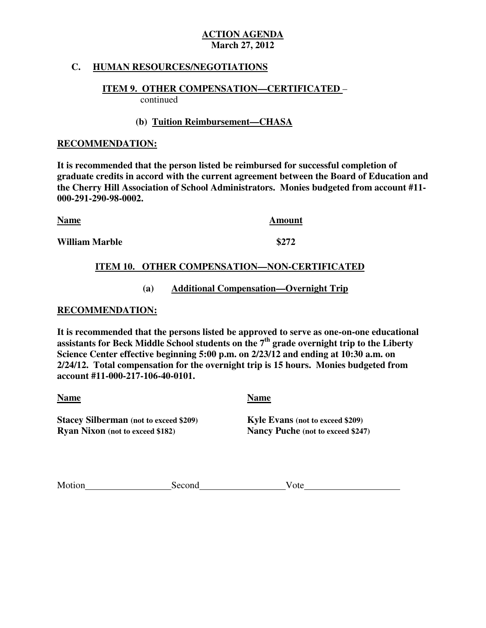## **C. HUMAN RESOURCES/NEGOTIATIONS**

#### **ITEM 9. OTHER COMPENSATION—CERTIFICATED** – continued

 **(b) Tuition Reimbursement—CHASA** 

### **RECOMMENDATION:**

 **It is recommended that the person listed be reimbursed for successful completion of graduate credits in accord with the current agreement between the Board of Education and the Cherry Hill Association of School Administrators. Monies budgeted from account #11 000-291-290-98-0002.** 

| <b>Name</b>    | Amount |
|----------------|--------|
| William Marble | \$272  |

## **ITEM 10. OTHER COMPENSATION—NON-CERTIFICATED**

## **(a) Additional Compensation—Overnight Trip**

### **RECOMMENDATION:**

 **It is recommended that the persons listed be approved to serve as one-on-one educational assistants for Beck Middle School students on the 7th grade overnight trip to the Liberty Science Center effective beginning 5:00 p.m. on 2/23/12 and ending at 10:30 a.m. on 2/24/12. Total compensation for the overnight trip is 15 hours. Monies budgeted from account #11-000-217-106-40-0101. Name Name** 

**Stacey Silberman** (not to exceed \$209) **Kyle Evans** (not to exceed \$209) **Ryan Nixon** (not to exceed \$182)

**Nancy Puche (not to exceed \$247)** 

| Motion<br>Second<br><sup>ote</sup> |
|------------------------------------|
|------------------------------------|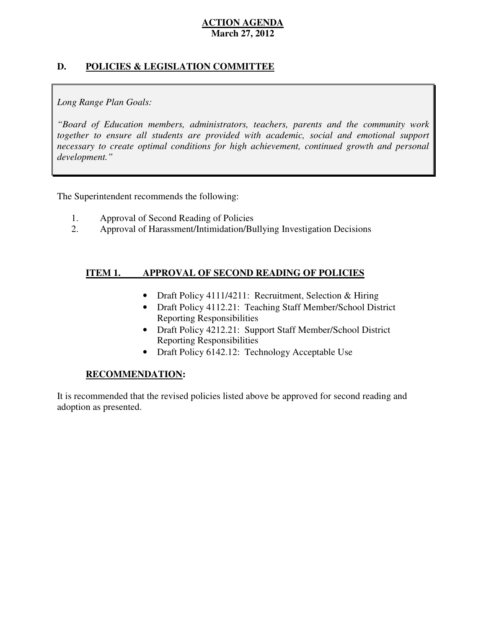# **D. POLICIES & LEGISLATION COMMITTEE**

# *Long Range Plan Goals:*

 *"Board of Education members, administrators, teachers, parents and the community work*  together to ensure all students are provided with academic, social and emotional support necessary to create optimal conditions for high achievement, continued growth and personal *development."* 

The Superintendent recommends the following:

- 1. Approval of Second Reading of Policies
- 2. Approval of Harassment/Intimidation/Bullying Investigation Decisions

#### **ITEM 1. APPROVAL OF SECOND READING OF POLICIES**

- Draft Policy 4111/4211: Recruitment, Selection & Hiring
- Draft Policy 4112.21: Teaching Staff Member/School District Reporting Responsibilities
- Draft Policy 4212.21: Support Staff Member/School District Reporting Responsibilities
- Draft Policy 6142.12: Technology Acceptable Use

### **RECOMMENDATION:**

 It is recommended that the revised policies listed above be approved for second reading and adoption as presented.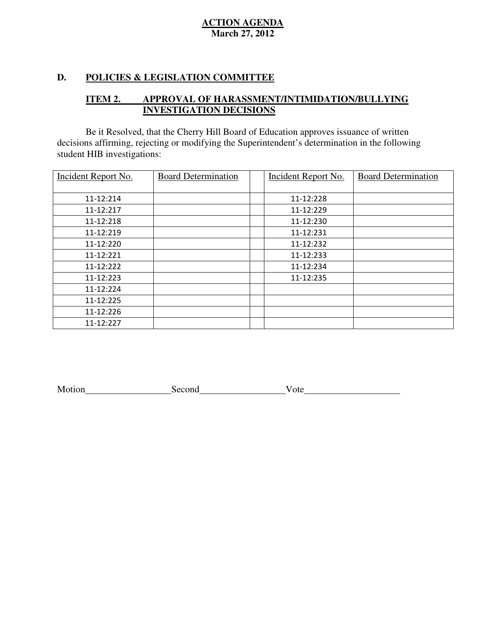### **D. POLICIES & LEGISLATION COMMITTEE**

#### **ITEM 2. IMPROVAL OF HARASSMENT/INTIMIDATION/BULLYING INVESTIGATION DECISIONS**

 decisions affirming, rejecting or modifying the Superintendent's determination in the following student HIB investigations: Be it Resolved, that the Cherry Hill Board of Education approves issuance of written

| <b>Incident Report No.</b> | <b>Board Determination</b> | <b>Incident Report No.</b> | <b>Board Determination</b> |
|----------------------------|----------------------------|----------------------------|----------------------------|
| 11-12:214                  |                            | 11-12:228                  |                            |
| 11-12:217                  |                            | 11-12:229                  |                            |
| 11-12:218                  |                            | 11-12:230                  |                            |
| 11-12:219                  |                            | 11-12:231                  |                            |
| 11-12:220                  |                            | 11-12:232                  |                            |
| 11-12:221                  |                            | 11-12:233                  |                            |
| 11-12:222                  |                            | 11-12:234                  |                            |
| 11-12:223                  |                            | 11-12:235                  |                            |
| 11-12:224                  |                            |                            |                            |
| 11-12:225                  |                            |                            |                            |
| 11-12:226                  |                            |                            |                            |
| 11-12:227                  |                            |                            |                            |

| Motion |
|--------|
|--------|